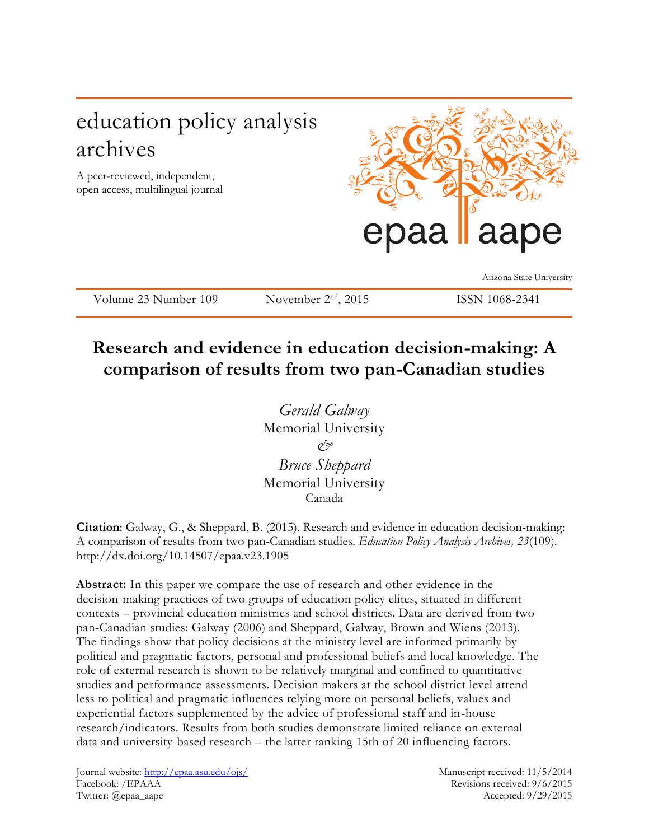# education policy analysis archives

A peer-reviewed, independent, open access, multilingual journal



Arizona State University

Volume 23 Number 109 November 2<sup>nd</sup>, 2015

## ISSN 1068-2341

**Research and evidence in education decision-making: A comparison of results from two pan-Canadian studies**

> *Gerald Galway* Memorial University *& Bruce Sheppard* Memorial University Canada

**Citation**: Galway, G., & Sheppard, B. (2015). Research and evidence in education decision-making: A comparison of results from two pan-Canadian studies. *Education Policy Analysis Archives, 23*(109). http://dx.doi.org/10.14507/epaa.v23.1905

**Abstract:** In this paper we compare the use of research and other evidence in the decision-making practices of two groups of education policy elites, situated in different contexts – provincial education ministries and school districts. Data are derived from two pan-Canadian studies: Galway (2006) and Sheppard, Galway, Brown and Wiens (2013). The findings show that policy decisions at the ministry level are informed primarily by political and pragmatic factors, personal and professional beliefs and local knowledge. The role of external research is shown to be relatively marginal and confined to quantitative studies and performance assessments. Decision makers at the school district level attend less to political and pragmatic influences relying more on personal beliefs, values and experiential factors supplemented by the advice of professional staff and in-house research/indicators. Results from both studies demonstrate limited reliance on external data and university-based research – the latter ranking 15th of 20 influencing factors.

Journal website:<http://epaa.asu.edu/ojs/> Manuscript received: 11/5/2014 Facebook: /EPAAA Revisions received: 9/6/2015 Twitter: @epaa\_aape Accepted: 9/29/2015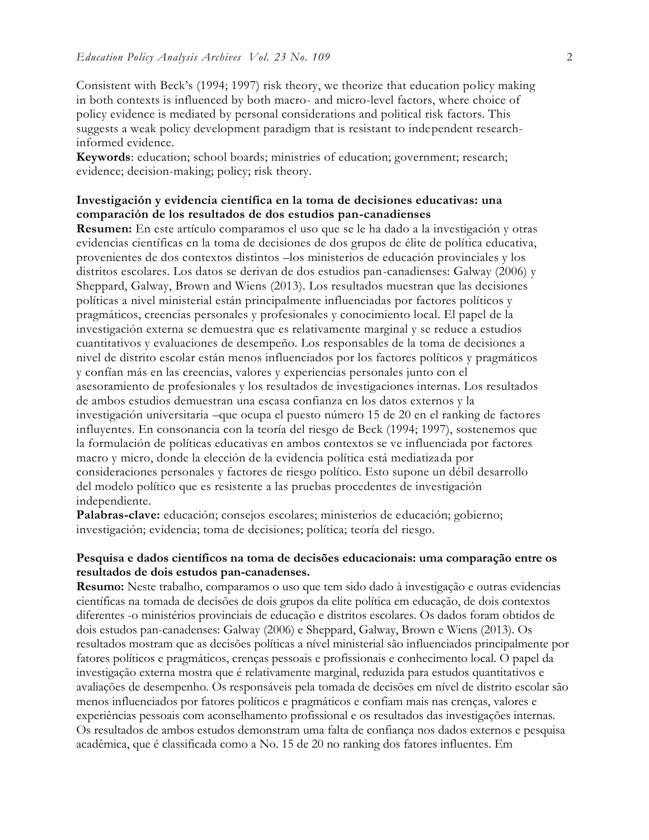Consistent with Beck's (1994; 1997) risk theory, we theorize that education policy making in both contexts is influenced by both macro- and micro-level factors, where choice of policy evidence is mediated by personal considerations and political risk factors. This suggests a weak policy development paradigm that is resistant to independent researchinformed evidence.

**Keywords**: education; school boards; ministries of education; government; research; evidence; decision-making; policy; risk theory.

## **Investigación y evidencia científica en la toma de decisiones educativas: una comparación de los resultados de dos estudios pan-canadienses**

**Resumen:** En este artículo comparamos el uso que se le ha dado a la investigación y otras evidencias científicas en la toma de decisiones de dos grupos de élite de política educativa, provenientes de dos contextos distintos –los ministerios de educación provinciales y los distritos escolares. Los datos se derivan de dos estudios pan-canadienses: Galway (2006) y Sheppard, Galway, Brown and Wiens (2013). Los resultados muestran que las decisiones políticas a nivel ministerial están principalmente influenciadas por factores políticos y pragmáticos, creencias personales y profesionales y conocimiento local. El papel de la investigación externa se demuestra que es relativamente marginal y se reduce a estudios cuantitativos y evaluaciones de desempeño. Los responsables de la toma de decisiones a nivel de distrito escolar están menos influenciados por los factores políticos y pragmáticos y confían más en las creencias, valores y experiencias personales junto con el asesoramiento de profesionales y los resultados de investigaciones internas. Los resultados de ambos estudios demuestran una escasa confianza en los datos externos y la investigación universitaria –que ocupa el puesto número 15 de 20 en el ranking de factores influyentes. En consonancia con la teoría del riesgo de Beck (1994; 1997), sostenemos que la formulación de políticas educativas en ambos contextos se ve influenciada por factores macro y micro, donde la elección de la evidencia política está mediatizada por consideraciones personales y factores de riesgo político. Esto supone un débil desarrollo del modelo político que es resistente a las pruebas procedentes de investigación independiente.

**Palabras-clave:** educación; consejos escolares; ministerios de educación; gobierno; investigación; evidencia; toma de decisiones; política; teoría del riesgo.

## **Pesquisa e dados científicos na toma de decisões educacionais: uma comparação entre os resultados de dois estudos pan-canadenses.**

**Resumo:** Neste trabalho, comparamos o uso que tem sido dado à investigação e outras evidencias científicas na tomada de decisões de dois grupos da elite política em educação, de dois contextos diferentes -o ministérios provinciais de educação e distritos escolares. Os dados foram obtidos de dois estudos pan-canadenses: Galway (2006) e Sheppard, Galway, Brown e Wiens (2013). Os resultados mostram que as decisões políticas a nível ministerial são influenciados principalmente por fatores políticos e pragmáticos, crenças pessoais e profissionais e conhecimento local. O papel da investigação externa mostra que é relativamente marginal, reduzida para estudos quantitativos e avaliações de desempenho. Os responsáveis pela tomada de decisões em nível de distrito escolar são menos influenciados por fatores políticos e pragmáticos e confiam mais nas crenças, valores e experiências pessoais com aconselhamento profissional e os resultados das investigações internas. Os resultados de ambos estudos demonstram uma falta de confiança nos dados externos e pesquisa acadêmica, que é classificada como a No. 15 de 20 no ranking dos fatores influentes. Em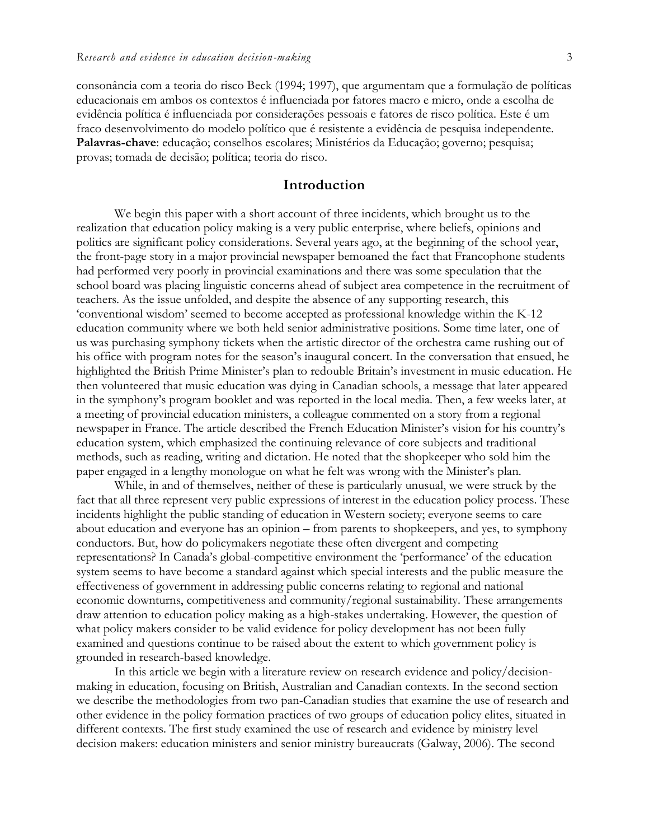consonância com a teoria do risco Beck (1994; 1997), que argumentam que a formulação de políticas educacionais em ambos os contextos é influenciada por fatores macro e micro, onde a escolha de evidência política é influenciada por considerações pessoais e fatores de risco política. Este é um fraco desenvolvimento do modelo político que é resistente a evidência de pesquisa independente. **Palavras-chave**: educação; conselhos escolares; Ministérios da Educação; governo; pesquisa; provas; tomada de decisão; política; teoria do risco.

## **Introduction**

We begin this paper with a short account of three incidents, which brought us to the realization that education policy making is a very public enterprise, where beliefs, opinions and politics are significant policy considerations. Several years ago, at the beginning of the school year, the front-page story in a major provincial newspaper bemoaned the fact that Francophone students had performed very poorly in provincial examinations and there was some speculation that the school board was placing linguistic concerns ahead of subject area competence in the recruitment of teachers. As the issue unfolded, and despite the absence of any supporting research, this 'conventional wisdom' seemed to become accepted as professional knowledge within the K-12 education community where we both held senior administrative positions. Some time later, one of us was purchasing symphony tickets when the artistic director of the orchestra came rushing out of his office with program notes for the season's inaugural concert. In the conversation that ensued, he highlighted the British Prime Minister's plan to redouble Britain's investment in music education. He then volunteered that music education was dying in Canadian schools, a message that later appeared in the symphony's program booklet and was reported in the local media. Then, a few weeks later, at a meeting of provincial education ministers, a colleague commented on a story from a regional newspaper in France. The article described the French Education Minister's vision for his country's education system, which emphasized the continuing relevance of core subjects and traditional methods, such as reading, writing and dictation. He noted that the shopkeeper who sold him the paper engaged in a lengthy monologue on what he felt was wrong with the Minister's plan.

While, in and of themselves, neither of these is particularly unusual, we were struck by the fact that all three represent very public expressions of interest in the education policy process. These incidents highlight the public standing of education in Western society; everyone seems to care about education and everyone has an opinion – from parents to shopkeepers, and yes, to symphony conductors. But, how do policymakers negotiate these often divergent and competing representations? In Canada's global-competitive environment the 'performance' of the education system seems to have become a standard against which special interests and the public measure the effectiveness of government in addressing public concerns relating to regional and national economic downturns, competitiveness and community/regional sustainability. These arrangements draw attention to education policy making as a high-stakes undertaking. However, the question of what policy makers consider to be valid evidence for policy development has not been fully examined and questions continue to be raised about the extent to which government policy is grounded in research-based knowledge.

In this article we begin with a literature review on research evidence and policy/decisionmaking in education, focusing on British, Australian and Canadian contexts. In the second section we describe the methodologies from two pan-Canadian studies that examine the use of research and other evidence in the policy formation practices of two groups of education policy elites, situated in different contexts. The first study examined the use of research and evidence by ministry level decision makers: education ministers and senior ministry bureaucrats (Galway, 2006). The second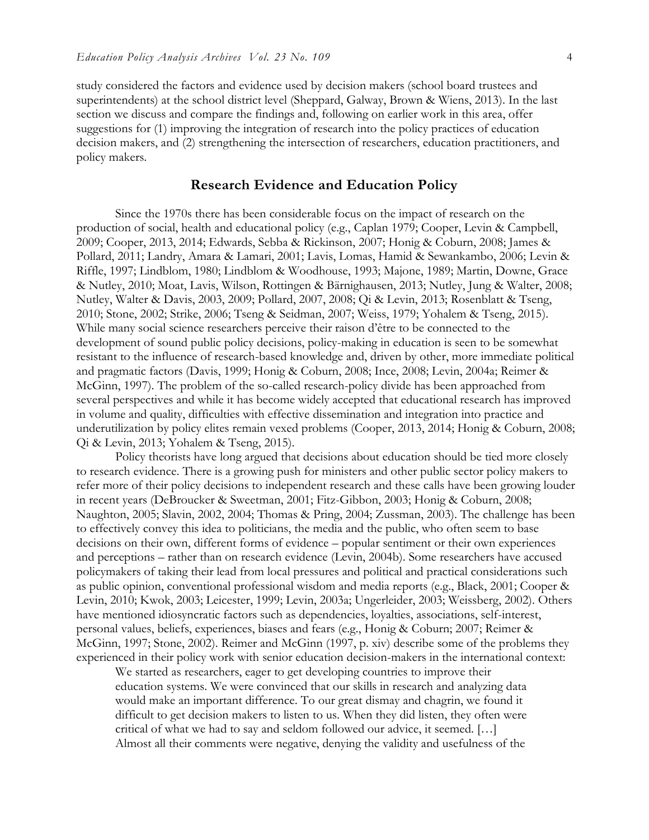study considered the factors and evidence used by decision makers (school board trustees and superintendents) at the school district level (Sheppard, Galway, Brown & Wiens, 2013). In the last section we discuss and compare the findings and, following on earlier work in this area, offer suggestions for (1) improving the integration of research into the policy practices of education decision makers, and (2) strengthening the intersection of researchers, education practitioners, and policy makers.

### **Research Evidence and Education Policy**

Since the 1970s there has been considerable focus on the impact of research on the production of social, health and educational policy (e.g., Caplan 1979; Cooper, Levin & Campbell, 2009; Cooper, 2013, 2014; Edwards, Sebba & Rickinson, 2007; Honig & Coburn, 2008; James & Pollard, 2011; Landry, Amara & Lamari, 2001; Lavis, Lomas, Hamid & Sewankambo, 2006; Levin & Riffle, 1997; Lindblom, 1980; Lindblom & Woodhouse, 1993; Majone, 1989; Martin, Downe, Grace & Nutley, 2010; Moat, Lavis, Wilson, Rottingen & Bärnighausen, 2013; Nutley, Jung & Walter, 2008; Nutley, Walter & Davis, 2003, 2009; Pollard, 2007, 2008; Qi & Levin, 2013; Rosenblatt & Tseng, 2010; Stone, 2002; Strike, 2006; Tseng & Seidman, 2007; Weiss, 1979; Yohalem & Tseng, 2015). While many social science researchers perceive their raison d'être to be connected to the development of sound public policy decisions, policy-making in education is seen to be somewhat resistant to the influence of research-based knowledge and, driven by other, more immediate political and pragmatic factors (Davis, 1999; Honig & Coburn, 2008; Ince, 2008; Levin, 2004a; Reimer & McGinn, 1997). The problem of the so-called research-policy divide has been approached from several perspectives and while it has become widely accepted that educational research has improved in volume and quality, difficulties with effective dissemination and integration into practice and underutilization by policy elites remain vexed problems (Cooper, 2013, 2014; Honig & Coburn, 2008; Qi & Levin, 2013; Yohalem & Tseng, 2015).

Policy theorists have long argued that decisions about education should be tied more closely to research evidence. There is a growing push for ministers and other public sector policy makers to refer more of their policy decisions to independent research and these calls have been growing louder in recent years (DeBroucker & Sweetman, 2001; Fitz-Gibbon, 2003; Honig & Coburn, 2008; Naughton, 2005; Slavin, 2002, 2004; Thomas & Pring, 2004; Zussman, 2003). The challenge has been to effectively convey this idea to politicians, the media and the public, who often seem to base decisions on their own, different forms of evidence – popular sentiment or their own experiences and perceptions – rather than on research evidence (Levin, 2004b). Some researchers have accused policymakers of taking their lead from local pressures and political and practical considerations such as public opinion, conventional professional wisdom and media reports (e.g., Black, 2001; Cooper & Levin, 2010; Kwok, 2003; Leicester, 1999; Levin, 2003a; Ungerleider, 2003; Weissberg, 2002). Others have mentioned idiosyncratic factors such as dependencies, loyalties, associations, self-interest, personal values, beliefs, experiences, biases and fears (e.g., Honig & Coburn; 2007; Reimer & McGinn, 1997; Stone, 2002). Reimer and McGinn (1997, p. xiv) describe some of the problems they experienced in their policy work with senior education decision-makers in the international context:

We started as researchers, eager to get developing countries to improve their education systems. We were convinced that our skills in research and analyzing data would make an important difference. To our great dismay and chagrin, we found it difficult to get decision makers to listen to us. When they did listen, they often were critical of what we had to say and seldom followed our advice, it seemed. […] Almost all their comments were negative, denying the validity and usefulness of the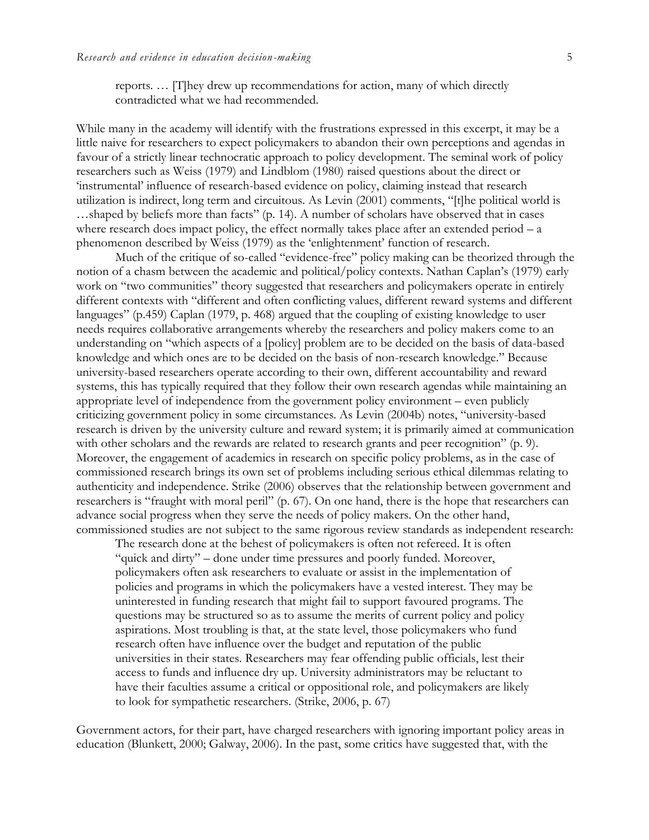reports. … [T]hey drew up recommendations for action, many of which directly contradicted what we had recommended.

While many in the academy will identify with the frustrations expressed in this excerpt, it may be a little naive for researchers to expect policymakers to abandon their own perceptions and agendas in favour of a strictly linear technocratic approach to policy development. The seminal work of policy researchers such as Weiss (1979) and Lindblom (1980) raised questions about the direct or 'instrumental' influence of research-based evidence on policy, claiming instead that research utilization is indirect, long term and circuitous. As Levin (2001) comments, "[t]he political world is …shaped by beliefs more than facts" (p. 14). A number of scholars have observed that in cases where research does impact policy, the effect normally takes place after an extended period  $- a$ phenomenon described by Weiss (1979) as the 'enlightenment' function of research.

Much of the critique of so-called "evidence-free" policy making can be theorized through the notion of a chasm between the academic and political/policy contexts. Nathan Caplan's (1979) early work on "two communities" theory suggested that researchers and policymakers operate in entirely different contexts with "different and often conflicting values, different reward systems and different languages" (p.459) Caplan (1979, p. 468) argued that the coupling of existing knowledge to user needs requires collaborative arrangements whereby the researchers and policy makers come to an understanding on "which aspects of a [policy] problem are to be decided on the basis of data-based knowledge and which ones are to be decided on the basis of non-research knowledge." Because university-based researchers operate according to their own, different accountability and reward systems, this has typically required that they follow their own research agendas while maintaining an appropriate level of independence from the government policy environment – even publicly criticizing government policy in some circumstances. As Levin (2004b) notes, "university-based research is driven by the university culture and reward system; it is primarily aimed at communication with other scholars and the rewards are related to research grants and peer recognition" (p. 9). Moreover, the engagement of academics in research on specific policy problems, as in the case of commissioned research brings its own set of problems including serious ethical dilemmas relating to authenticity and independence. Strike (2006) observes that the relationship between government and researchers is "fraught with moral peril" (p. 67). On one hand, there is the hope that researchers can advance social progress when they serve the needs of policy makers. On the other hand, commissioned studies are not subject to the same rigorous review standards as independent research:

The research done at the behest of policymakers is often not refereed. It is often "quick and dirty" – done under time pressures and poorly funded. Moreover, policymakers often ask researchers to evaluate or assist in the implementation of policies and programs in which the policymakers have a vested interest. They may be uninterested in funding research that might fail to support favoured programs. The questions may be structured so as to assume the merits of current policy and policy aspirations. Most troubling is that, at the state level, those policymakers who fund research often have influence over the budget and reputation of the public universities in their states. Researchers may fear offending public officials, lest their access to funds and influence dry up. University administrators may be reluctant to have their faculties assume a critical or oppositional role, and policymakers are likely to look for sympathetic researchers. (Strike, 2006, p. 67)

Government actors, for their part, have charged researchers with ignoring important policy areas in education (Blunkett, 2000; Galway, 2006). In the past, some critics have suggested that, with the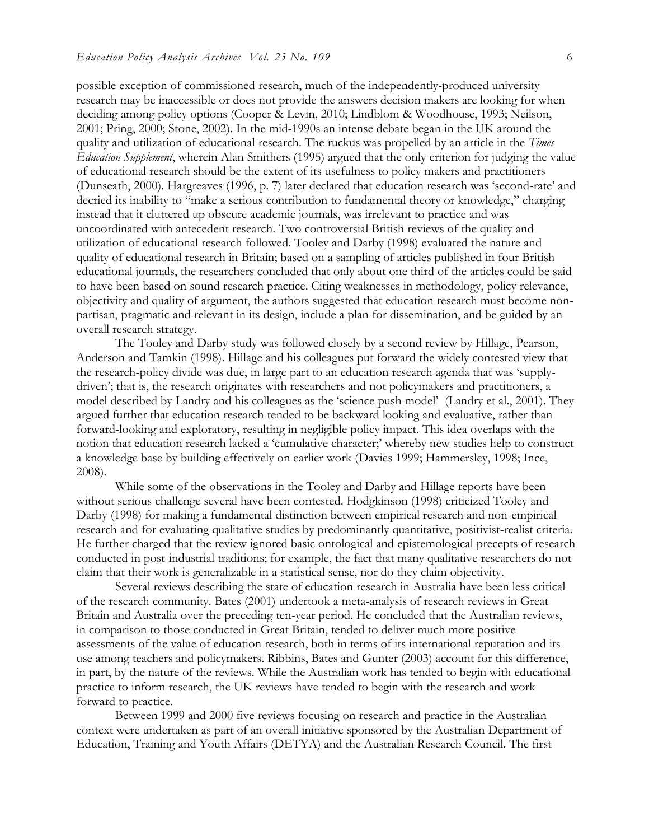possible exception of commissioned research, much of the independently-produced university research may be inaccessible or does not provide the answers decision makers are looking for when deciding among policy options (Cooper & Levin, 2010; Lindblom & Woodhouse, 1993; Neilson, 2001; Pring, 2000; Stone, 2002). In the mid-1990s an intense debate began in the UK around the quality and utilization of educational research. The ruckus was propelled by an article in the *Times Education Supplement*, wherein Alan Smithers (1995) argued that the only criterion for judging the value of educational research should be the extent of its usefulness to policy makers and practitioners (Dunseath, 2000). Hargreaves (1996, p. 7) later declared that education research was 'second-rate' and decried its inability to "make a serious contribution to fundamental theory or knowledge," charging instead that it cluttered up obscure academic journals, was irrelevant to practice and was uncoordinated with antecedent research. Two controversial British reviews of the quality and utilization of educational research followed. Tooley and Darby (1998) evaluated the nature and quality of educational research in Britain; based on a sampling of articles published in four British educational journals, the researchers concluded that only about one third of the articles could be said to have been based on sound research practice. Citing weaknesses in methodology, policy relevance, objectivity and quality of argument, the authors suggested that education research must become nonpartisan, pragmatic and relevant in its design, include a plan for dissemination, and be guided by an overall research strategy.

The Tooley and Darby study was followed closely by a second review by Hillage, Pearson, Anderson and Tamkin (1998). Hillage and his colleagues put forward the widely contested view that the research-policy divide was due, in large part to an education research agenda that was 'supplydriven'; that is, the research originates with researchers and not policymakers and practitioners, a model described by Landry and his colleagues as the 'science push model' (Landry et al., 2001). They argued further that education research tended to be backward looking and evaluative, rather than forward-looking and exploratory, resulting in negligible policy impact. This idea overlaps with the notion that education research lacked a 'cumulative character;' whereby new studies help to construct a knowledge base by building effectively on earlier work (Davies 1999; Hammersley, 1998; Ince, 2008).

While some of the observations in the Tooley and Darby and Hillage reports have been without serious challenge several have been contested. Hodgkinson (1998) criticized Tooley and Darby (1998) for making a fundamental distinction between empirical research and non-empirical research and for evaluating qualitative studies by predominantly quantitative, positivist-realist criteria. He further charged that the review ignored basic ontological and epistemological precepts of research conducted in post-industrial traditions; for example, the fact that many qualitative researchers do not claim that their work is generalizable in a statistical sense, nor do they claim objectivity.

Several reviews describing the state of education research in Australia have been less critical of the research community. Bates (2001) undertook a meta-analysis of research reviews in Great Britain and Australia over the preceding ten-year period. He concluded that the Australian reviews, in comparison to those conducted in Great Britain, tended to deliver much more positive assessments of the value of education research, both in terms of its international reputation and its use among teachers and policymakers. Ribbins, Bates and Gunter (2003) account for this difference, in part, by the nature of the reviews. While the Australian work has tended to begin with educational practice to inform research, the UK reviews have tended to begin with the research and work forward to practice.

Between 1999 and 2000 five reviews focusing on research and practice in the Australian context were undertaken as part of an overall initiative sponsored by the Australian Department of Education, Training and Youth Affairs (DETYA) and the Australian Research Council. The first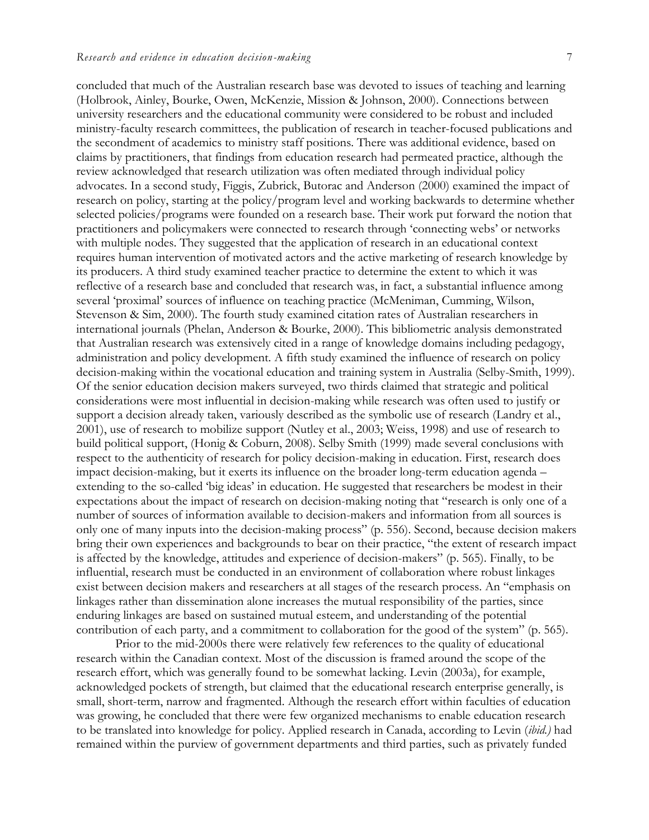concluded that much of the Australian research base was devoted to issues of teaching and learning (Holbrook, Ainley, Bourke, Owen, McKenzie, Mission & Johnson, 2000). Connections between university researchers and the educational community were considered to be robust and included ministry-faculty research committees, the publication of research in teacher-focused publications and the secondment of academics to ministry staff positions. There was additional evidence, based on claims by practitioners, that findings from education research had permeated practice, although the review acknowledged that research utilization was often mediated through individual policy advocates. In a second study, Figgis, Zubrick, Butorac and Anderson (2000) examined the impact of research on policy, starting at the policy/program level and working backwards to determine whether selected policies/programs were founded on a research base. Their work put forward the notion that practitioners and policymakers were connected to research through 'connecting webs' or networks with multiple nodes. They suggested that the application of research in an educational context requires human intervention of motivated actors and the active marketing of research knowledge by its producers. A third study examined teacher practice to determine the extent to which it was reflective of a research base and concluded that research was, in fact, a substantial influence among several 'proximal' sources of influence on teaching practice (McMeniman, Cumming, Wilson, Stevenson & Sim, 2000). The fourth study examined citation rates of Australian researchers in international journals (Phelan, Anderson & Bourke, 2000). This bibliometric analysis demonstrated that Australian research was extensively cited in a range of knowledge domains including pedagogy, administration and policy development. A fifth study examined the influence of research on policy decision-making within the vocational education and training system in Australia (Selby-Smith, 1999). Of the senior education decision makers surveyed, two thirds claimed that strategic and political considerations were most influential in decision-making while research was often used to justify or support a decision already taken, variously described as the symbolic use of research (Landry et al., 2001), use of research to mobilize support (Nutley et al., 2003; Weiss, 1998) and use of research to build political support, (Honig & Coburn, 2008). Selby Smith (1999) made several conclusions with respect to the authenticity of research for policy decision-making in education. First, research does impact decision-making, but it exerts its influence on the broader long-term education agenda – extending to the so-called 'big ideas' in education. He suggested that researchers be modest in their expectations about the impact of research on decision-making noting that "research is only one of a number of sources of information available to decision-makers and information from all sources is only one of many inputs into the decision-making process" (p. 556). Second, because decision makers bring their own experiences and backgrounds to bear on their practice, "the extent of research impact is affected by the knowledge, attitudes and experience of decision-makers" (p. 565). Finally, to be influential, research must be conducted in an environment of collaboration where robust linkages exist between decision makers and researchers at all stages of the research process. An "emphasis on linkages rather than dissemination alone increases the mutual responsibility of the parties, since enduring linkages are based on sustained mutual esteem, and understanding of the potential contribution of each party, and a commitment to collaboration for the good of the system" (p. 565).

Prior to the mid-2000s there were relatively few references to the quality of educational research within the Canadian context. Most of the discussion is framed around the scope of the research effort, which was generally found to be somewhat lacking. Levin (2003a), for example, acknowledged pockets of strength, but claimed that the educational research enterprise generally, is small, short-term, narrow and fragmented. Although the research effort within faculties of education was growing, he concluded that there were few organized mechanisms to enable education research to be translated into knowledge for policy. Applied research in Canada, according to Levin (*ibid.)* had remained within the purview of government departments and third parties, such as privately funded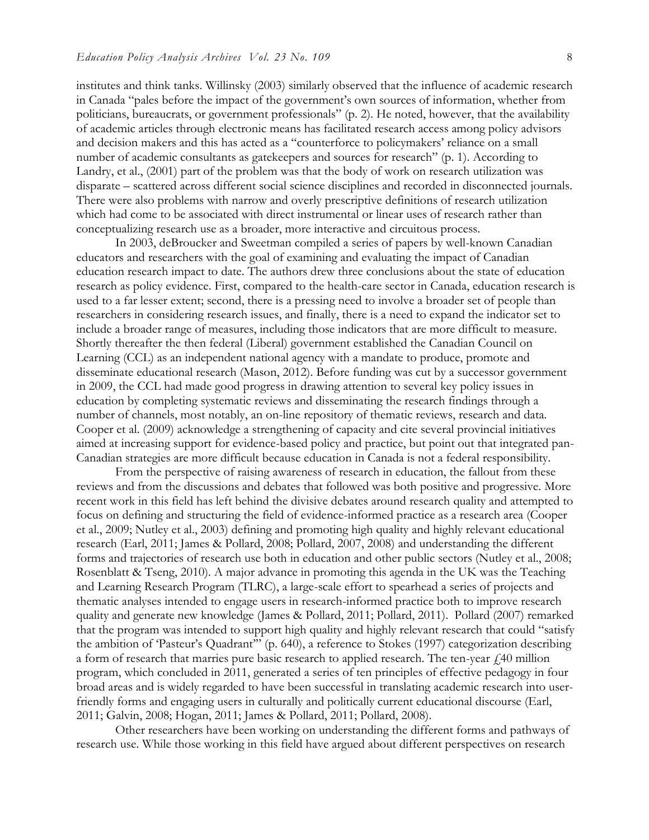institutes and think tanks. Willinsky (2003) similarly observed that the influence of academic research in Canada "pales before the impact of the government's own sources of information, whether from politicians, bureaucrats, or government professionals" (p. 2). He noted, however, that the availability of academic articles through electronic means has facilitated research access among policy advisors and decision makers and this has acted as a "counterforce to policymakers' reliance on a small number of academic consultants as gatekeepers and sources for research" (p. 1). According to Landry, et al., (2001) part of the problem was that the body of work on research utilization was disparate – scattered across different social science disciplines and recorded in disconnected journals. There were also problems with narrow and overly prescriptive definitions of research utilization which had come to be associated with direct instrumental or linear uses of research rather than conceptualizing research use as a broader, more interactive and circuitous process.

In 2003, deBroucker and Sweetman compiled a series of papers by well-known Canadian educators and researchers with the goal of examining and evaluating the impact of Canadian education research impact to date. The authors drew three conclusions about the state of education research as policy evidence. First, compared to the health-care sector in Canada, education research is used to a far lesser extent; second, there is a pressing need to involve a broader set of people than researchers in considering research issues, and finally, there is a need to expand the indicator set to include a broader range of measures, including those indicators that are more difficult to measure. Shortly thereafter the then federal (Liberal) government established the Canadian Council on Learning (CCL) as an independent national agency with a mandate to produce, promote and disseminate educational research (Mason, 2012). Before funding was cut by a successor government in 2009, the CCL had made good progress in drawing attention to several key policy issues in education by completing systematic reviews and disseminating the research findings through a number of channels, most notably, an on-line repository of thematic reviews, research and data. Cooper et al. (2009) acknowledge a strengthening of capacity and cite several provincial initiatives aimed at increasing support for evidence-based policy and practice, but point out that integrated pan-Canadian strategies are more difficult because education in Canada is not a federal responsibility.

From the perspective of raising awareness of research in education, the fallout from these reviews and from the discussions and debates that followed was both positive and progressive. More recent work in this field has left behind the divisive debates around research quality and attempted to focus on defining and structuring the field of evidence-informed practice as a research area (Cooper et al., 2009; Nutley et al., 2003) defining and promoting high quality and highly relevant educational research (Earl, 2011; James & Pollard, 2008; Pollard, 2007, 2008) and understanding the different forms and trajectories of research use both in education and other public sectors (Nutley et al., 2008; Rosenblatt & Tseng, 2010). A major advance in promoting this agenda in the UK was the Teaching and Learning Research Program (TLRC), a large-scale effort to spearhead a series of projects and thematic analyses intended to engage users in research-informed practice both to improve research quality and generate new knowledge (James & Pollard, 2011; Pollard, 2011). Pollard (2007) remarked that the program was intended to support high quality and highly relevant research that could "satisfy the ambition of 'Pasteur's Quadrant'" (p. 640), a reference to Stokes (1997) categorization describing a form of research that marries pure basic research to applied research. The ten-year  $\dot{\gamma}$  40 million program, which concluded in 2011, generated a series of ten principles of effective pedagogy in four broad areas and is widely regarded to have been successful in translating academic research into userfriendly forms and engaging users in culturally and politically current educational discourse (Earl, 2011; Galvin, 2008; Hogan, 2011; James & Pollard, 2011; Pollard, 2008).

Other researchers have been working on understanding the different forms and pathways of research use. While those working in this field have argued about different perspectives on research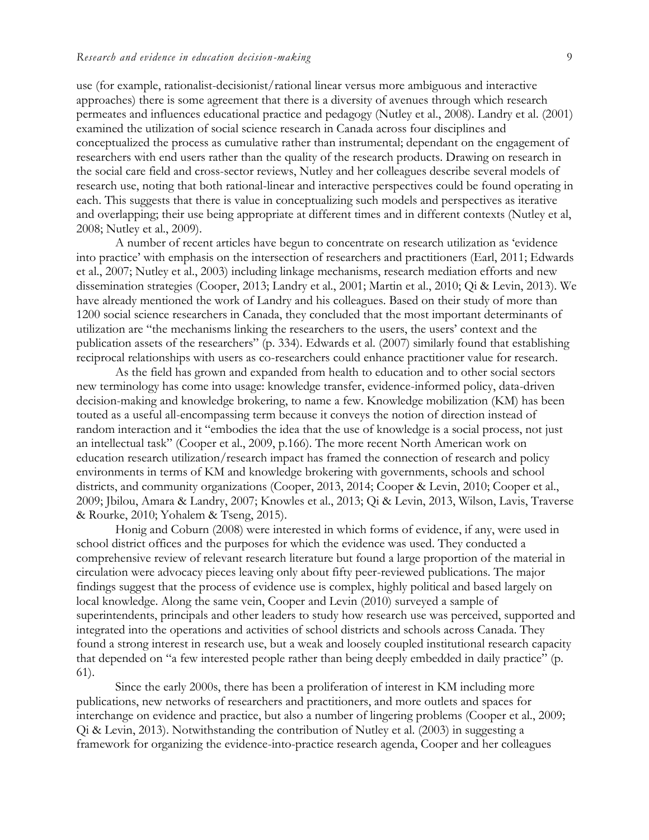use (for example, rationalist-decisionist/rational linear versus more ambiguous and interactive approaches) there is some agreement that there is a diversity of avenues through which research permeates and influences educational practice and pedagogy (Nutley et al., 2008). Landry et al. (2001) examined the utilization of social science research in Canada across four disciplines and conceptualized the process as cumulative rather than instrumental; dependant on the engagement of researchers with end users rather than the quality of the research products. Drawing on research in the social care field and cross-sector reviews, Nutley and her colleagues describe several models of research use, noting that both rational-linear and interactive perspectives could be found operating in each. This suggests that there is value in conceptualizing such models and perspectives as iterative and overlapping; their use being appropriate at different times and in different contexts (Nutley et al, 2008; Nutley et al., 2009).

A number of recent articles have begun to concentrate on research utilization as 'evidence into practice' with emphasis on the intersection of researchers and practitioners (Earl, 2011; Edwards et al., 2007; Nutley et al., 2003) including linkage mechanisms, research mediation efforts and new dissemination strategies (Cooper, 2013; Landry et al., 2001; Martin et al., 2010; Qi & Levin, 2013). We have already mentioned the work of Landry and his colleagues. Based on their study of more than 1200 social science researchers in Canada, they concluded that the most important determinants of utilization are "the mechanisms linking the researchers to the users, the users' context and the publication assets of the researchers" (p. 334). Edwards et al. (2007) similarly found that establishing reciprocal relationships with users as co-researchers could enhance practitioner value for research.

As the field has grown and expanded from health to education and to other social sectors new terminology has come into usage: knowledge transfer, evidence-informed policy, data-driven decision-making and knowledge brokering, to name a few. Knowledge mobilization (KM) has been touted as a useful all-encompassing term because it conveys the notion of direction instead of random interaction and it "embodies the idea that the use of knowledge is a social process, not just an intellectual task" (Cooper et al., 2009, p.166). The more recent North American work on education research utilization/research impact has framed the connection of research and policy environments in terms of KM and knowledge brokering with governments, schools and school districts, and community organizations (Cooper, 2013, 2014; Cooper & Levin, 2010; Cooper et al., 2009; Jbilou, Amara & Landry, 2007; Knowles et al., 2013; Qi & Levin, 2013, Wilson, Lavis, Traverse & Rourke, 2010; Yohalem & Tseng, 2015).

Honig and Coburn (2008) were interested in which forms of evidence, if any, were used in school district offices and the purposes for which the evidence was used. They conducted a comprehensive review of relevant research literature but found a large proportion of the material in circulation were advocacy pieces leaving only about fifty peer-reviewed publications. The major findings suggest that the process of evidence use is complex, highly political and based largely on local knowledge. Along the same vein, Cooper and Levin (2010) surveyed a sample of superintendents, principals and other leaders to study how research use was perceived, supported and integrated into the operations and activities of school districts and schools across Canada. They found a strong interest in research use, but a weak and loosely coupled institutional research capacity that depended on "a few interested people rather than being deeply embedded in daily practice" (p. 61).

Since the early 2000s, there has been a proliferation of interest in KM including more publications, new networks of researchers and practitioners, and more outlets and spaces for interchange on evidence and practice, but also a number of lingering problems (Cooper et al., 2009; Qi & Levin, 2013). Notwithstanding the contribution of Nutley et al. (2003) in suggesting a framework for organizing the evidence-into-practice research agenda, Cooper and her colleagues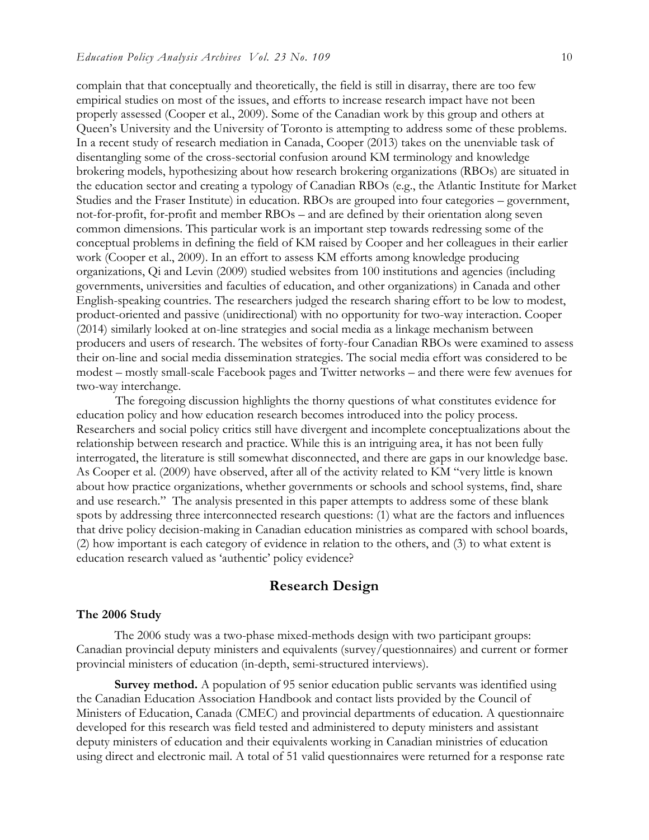complain that that conceptually and theoretically, the field is still in disarray, there are too few empirical studies on most of the issues, and efforts to increase research impact have not been properly assessed (Cooper et al., 2009). Some of the Canadian work by this group and others at Queen's University and the University of Toronto is attempting to address some of these problems. In a recent study of research mediation in Canada, Cooper (2013) takes on the unenviable task of disentangling some of the cross-sectorial confusion around KM terminology and knowledge brokering models, hypothesizing about how research brokering organizations (RBOs) are situated in the education sector and creating a typology of Canadian RBOs (e.g., the Atlantic Institute for Market Studies and the Fraser Institute) in education. RBOs are grouped into four categories – government, not-for-profit, for-profit and member RBOs – and are defined by their orientation along seven common dimensions. This particular work is an important step towards redressing some of the conceptual problems in defining the field of KM raised by Cooper and her colleagues in their earlier work (Cooper et al., 2009). In an effort to assess KM efforts among knowledge producing organizations, Qi and Levin (2009) studied websites from 100 institutions and agencies (including governments, universities and faculties of education, and other organizations) in Canada and other English-speaking countries. The researchers judged the research sharing effort to be low to modest, product-oriented and passive (unidirectional) with no opportunity for two-way interaction. Cooper (2014) similarly looked at on-line strategies and social media as a linkage mechanism between producers and users of research. The websites of forty-four Canadian RBOs were examined to assess their on-line and social media dissemination strategies. The social media effort was considered to be modest – mostly small-scale Facebook pages and Twitter networks – and there were few avenues for two-way interchange.

The foregoing discussion highlights the thorny questions of what constitutes evidence for education policy and how education research becomes introduced into the policy process. Researchers and social policy critics still have divergent and incomplete conceptualizations about the relationship between research and practice. While this is an intriguing area, it has not been fully interrogated, the literature is still somewhat disconnected, and there are gaps in our knowledge base. As Cooper et al. (2009) have observed, after all of the activity related to KM "very little is known about how practice organizations, whether governments or schools and school systems, find, share and use research." The analysis presented in this paper attempts to address some of these blank spots by addressing three interconnected research questions: (1) what are the factors and influences that drive policy decision-making in Canadian education ministries as compared with school boards, (2) how important is each category of evidence in relation to the others, and (3) to what extent is education research valued as 'authentic' policy evidence?

## **Research Design**

#### **The 2006 Study**

The 2006 study was a two-phase mixed-methods design with two participant groups: Canadian provincial deputy ministers and equivalents (survey/questionnaires) and current or former provincial ministers of education (in-depth, semi-structured interviews).

**Survey method.** A population of 95 senior education public servants was identified using the Canadian Education Association Handbook and contact lists provided by the Council of Ministers of Education, Canada (CMEC) and provincial departments of education. A questionnaire developed for this research was field tested and administered to deputy ministers and assistant deputy ministers of education and their equivalents working in Canadian ministries of education using direct and electronic mail. A total of 51 valid questionnaires were returned for a response rate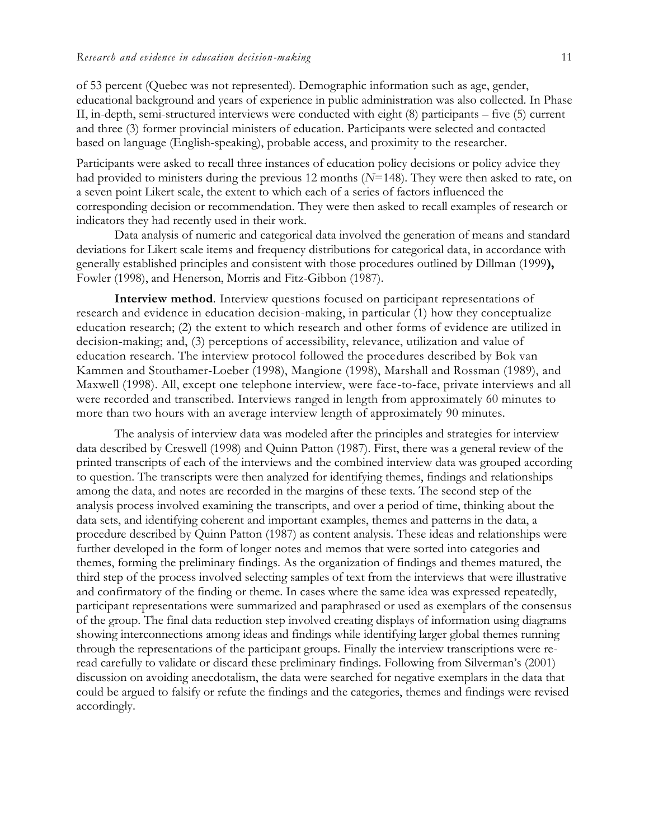of 53 percent (Quebec was not represented). Demographic information such as age, gender, educational background and years of experience in public administration was also collected. In Phase II, in-depth, semi-structured interviews were conducted with eight (8) participants – five (5) current and three (3) former provincial ministers of education. Participants were selected and contacted based on language (English-speaking), probable access, and proximity to the researcher.

Participants were asked to recall three instances of education policy decisions or policy advice they had provided to ministers during the previous 12 months (*N*=148). They were then asked to rate, on a seven point Likert scale, the extent to which each of a series of factors influenced the corresponding decision or recommendation. They were then asked to recall examples of research or indicators they had recently used in their work.

Data analysis of numeric and categorical data involved the generation of means and standard deviations for Likert scale items and frequency distributions for categorical data, in accordance with generally established principles and consistent with those procedures outlined by Dillman (1999**),**  Fowler (1998), and Henerson, Morris and Fitz-Gibbon (1987).

**Interview method***.* Interview questions focused on participant representations of research and evidence in education decision-making, in particular (1) how they conceptualize education research; (2) the extent to which research and other forms of evidence are utilized in decision-making; and, (3) perceptions of accessibility, relevance, utilization and value of education research. The interview protocol followed the procedures described by Bok van Kammen and Stouthamer-Loeber (1998), Mangione (1998), Marshall and Rossman (1989), and Maxwell (1998). All, except one telephone interview, were face-to-face, private interviews and all were recorded and transcribed. Interviews ranged in length from approximately 60 minutes to more than two hours with an average interview length of approximately 90 minutes.

The analysis of interview data was modeled after the principles and strategies for interview data described by Creswell (1998) and Quinn Patton (1987). First, there was a general review of the printed transcripts of each of the interviews and the combined interview data was grouped according to question. The transcripts were then analyzed for identifying themes, findings and relationships among the data, and notes are recorded in the margins of these texts. The second step of the analysis process involved examining the transcripts, and over a period of time, thinking about the data sets, and identifying coherent and important examples, themes and patterns in the data, a procedure described by Quinn Patton (1987) as content analysis. These ideas and relationships were further developed in the form of longer notes and memos that were sorted into categories and themes, forming the preliminary findings. As the organization of findings and themes matured, the third step of the process involved selecting samples of text from the interviews that were illustrative and confirmatory of the finding or theme. In cases where the same idea was expressed repeatedly, participant representations were summarized and paraphrased or used as exemplars of the consensus of the group. The final data reduction step involved creating displays of information using diagrams showing interconnections among ideas and findings while identifying larger global themes running through the representations of the participant groups. Finally the interview transcriptions were reread carefully to validate or discard these preliminary findings. Following from Silverman's (2001) discussion on avoiding anecdotalism, the data were searched for negative exemplars in the data that could be argued to falsify or refute the findings and the categories, themes and findings were revised accordingly.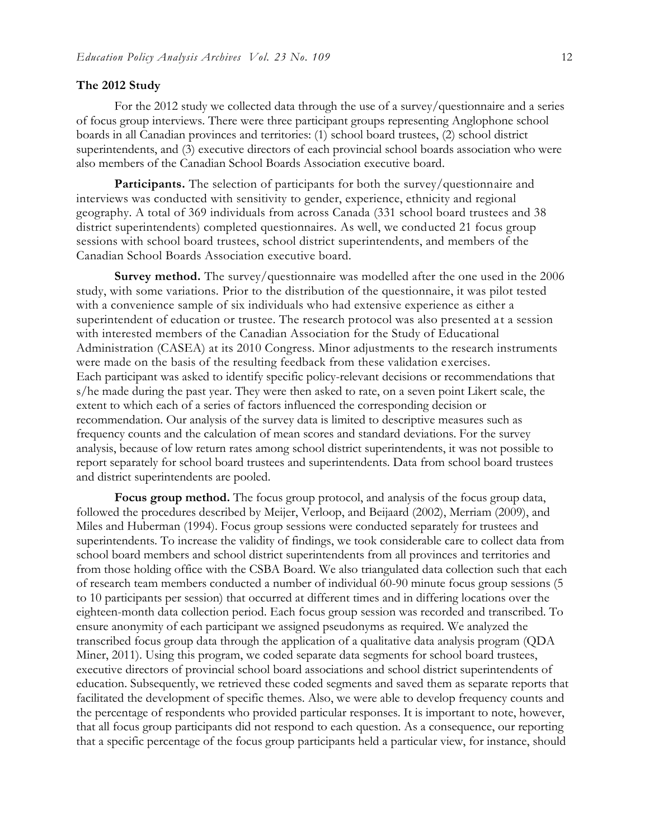#### **The 2012 Study**

For the 2012 study we collected data through the use of a survey/questionnaire and a series of focus group interviews. There were three participant groups representing Anglophone school boards in all Canadian provinces and territories: (1) school board trustees, (2) school district superintendents, and (3) executive directors of each provincial school boards association who were also members of the Canadian School Boards Association executive board.

Participants. The selection of participants for both the survey/questionnaire and interviews was conducted with sensitivity to gender, experience, ethnicity and regional geography. A total of 369 individuals from across Canada (331 school board trustees and 38 district superintendents) completed questionnaires. As well, we conducted 21 focus group sessions with school board trustees, school district superintendents, and members of the Canadian School Boards Association executive board.

**Survey method.** The survey/questionnaire was modelled after the one used in the 2006 study, with some variations. Prior to the distribution of the questionnaire, it was pilot tested with a convenience sample of six individuals who had extensive experience as either a superintendent of education or trustee. The research protocol was also presented at a session with interested members of the Canadian Association for the Study of Educational Administration (CASEA) at its 2010 Congress. Minor adjustments to the research instruments were made on the basis of the resulting feedback from these validation exercises. Each participant was asked to identify specific policy-relevant decisions or recommendations that s/he made during the past year. They were then asked to rate, on a seven point Likert scale, the extent to which each of a series of factors influenced the corresponding decision or recommendation. Our analysis of the survey data is limited to descriptive measures such as frequency counts and the calculation of mean scores and standard deviations. For the survey analysis, because of low return rates among school district superintendents, it was not possible to report separately for school board trustees and superintendents. Data from school board trustees and district superintendents are pooled.

**Focus group method.** The focus group protocol, and analysis of the focus group data, followed the procedures described by Meijer, Verloop, and Beijaard (2002), Merriam (2009), and Miles and Huberman (1994). Focus group sessions were conducted separately for trustees and superintendents. To increase the validity of findings, we took considerable care to collect data from school board members and school district superintendents from all provinces and territories and from those holding office with the CSBA Board. We also triangulated data collection such that each of research team members conducted a number of individual 60-90 minute focus group sessions (5 to 10 participants per session) that occurred at different times and in differing locations over the eighteen-month data collection period. Each focus group session was recorded and transcribed. To ensure anonymity of each participant we assigned pseudonyms as required. We analyzed the transcribed focus group data through the application of a qualitative data analysis program (QDA Miner, 2011). Using this program, we coded separate data segments for school board trustees, executive directors of provincial school board associations and school district superintendents of education. Subsequently, we retrieved these coded segments and saved them as separate reports that facilitated the development of specific themes. Also, we were able to develop frequency counts and the percentage of respondents who provided particular responses. It is important to note, however, that all focus group participants did not respond to each question. As a consequence, our reporting that a specific percentage of the focus group participants held a particular view, for instance, should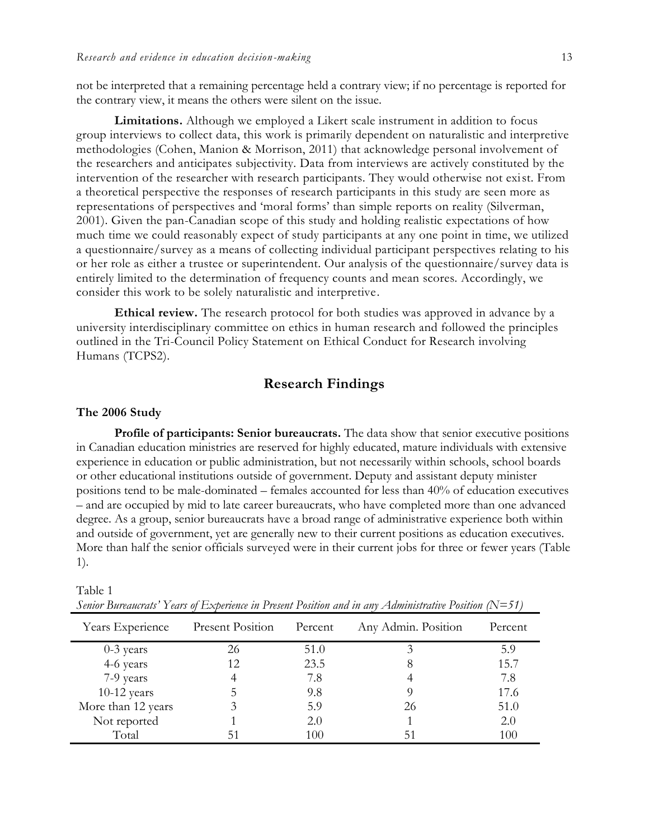not be interpreted that a remaining percentage held a contrary view; if no percentage is reported for the contrary view, it means the others were silent on the issue.

**Limitations.** Although we employed a Likert scale instrument in addition to focus group interviews to collect data, this work is primarily dependent on naturalistic and interpretive methodologies (Cohen, Manion & Morrison, 2011) that acknowledge personal involvement of the researchers and anticipates subjectivity. Data from interviews are actively constituted by the intervention of the researcher with research participants. They would otherwise not exist. From a theoretical perspective the responses of research participants in this study are seen more as representations of perspectives and 'moral forms' than simple reports on reality (Silverman, 2001). Given the pan-Canadian scope of this study and holding realistic expectations of how much time we could reasonably expect of study participants at any one point in time, we utilized a questionnaire/survey as a means of collecting individual participant perspectives relating to his or her role as either a trustee or superintendent. Our analysis of the questionnaire/survey data is entirely limited to the determination of frequency counts and mean scores. Accordingly, we consider this work to be solely naturalistic and interpretive.

**Ethical review.** The research protocol for both studies was approved in advance by a university interdisciplinary committee on ethics in human research and followed the principles outlined in the Tri-Council Policy Statement on Ethical Conduct for Research involving Humans (TCPS2).

## **Research Findings**

#### **The 2006 Study**

**Profile of participants: Senior bureaucrats.** The data show that senior executive positions in Canadian education ministries are reserved for highly educated, mature individuals with extensive experience in education or public administration, but not necessarily within schools, school boards or other educational institutions outside of government. Deputy and assistant deputy minister positions tend to be male-dominated – females accounted for less than 40% of education executives – and are occupied by mid to late career bureaucrats, who have completed more than one advanced degree. As a group, senior bureaucrats have a broad range of administrative experience both within and outside of government, yet are generally new to their current positions as education executives. More than half the senior officials surveyed were in their current jobs for three or fewer years (Table 1).

| Years Experience   | Present Position | Percent | Any Admin. Position | Percent |
|--------------------|------------------|---------|---------------------|---------|
| $0-3$ years        | 26               | 51.0    |                     | 5.9     |
| 4-6 years          | 12               | 23.5    | 8                   | 15.7    |
| 7-9 years          |                  | 7.8     |                     | 7.8     |
| $10-12$ years      |                  | 9.8     |                     | 17.6    |
| More than 12 years |                  | 5.9     | 26                  | 51.0    |
| Not reported       |                  | 2.0     |                     | 2.0     |
| Total              |                  | 100     | 51                  | 100     |

Table 1

*Senior Bureaucrats' Years of Experience in Present Position and in any Administrative Position (N=51)*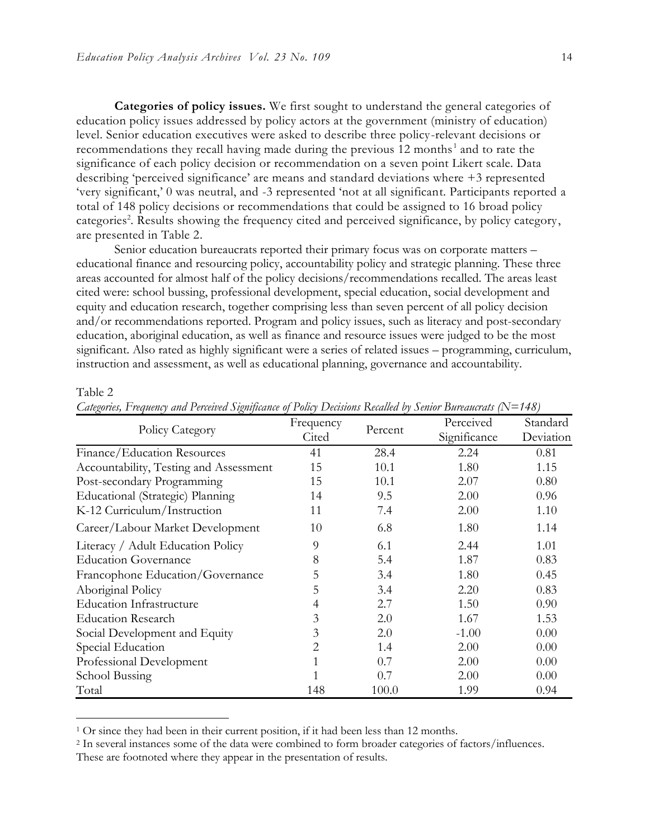**Categories of policy issues.** We first sought to understand the general categories of education policy issues addressed by policy actors at the government (ministry of education) level. Senior education executives were asked to describe three policy-relevant decisions or recommendations they recall having made during the previous  $12$  months<sup>1</sup> and to rate the significance of each policy decision or recommendation on a seven point Likert scale. Data describing 'perceived significance' are means and standard deviations where +3 represented 'very significant,' 0 was neutral, and -3 represented 'not at all significant. Participants reported a total of 148 policy decisions or recommendations that could be assigned to 16 broad policy categories<sup>2</sup>. Results showing the frequency cited and perceived significance, by policy category, are presented in Table 2.

Senior education bureaucrats reported their primary focus was on corporate matters – educational finance and resourcing policy, accountability policy and strategic planning. These three areas accounted for almost half of the policy decisions/recommendations recalled. The areas least cited were: school bussing, professional development, special education, social development and equity and education research, together comprising less than seven percent of all policy decision and/or recommendations reported. Program and policy issues, such as literacy and post-secondary education, aboriginal education, as well as finance and resource issues were judged to be the most significant. Also rated as highly significant were a series of related issues – programming, curriculum, instruction and assessment, as well as educational planning, governance and accountability.

| Policy Category                        | Frequency      | Percent | Perceived    | Standard  |
|----------------------------------------|----------------|---------|--------------|-----------|
|                                        | Cited          |         | Significance | Deviation |
| Finance/Education Resources            | 41             | 28.4    | 2.24         | 0.81      |
| Accountability, Testing and Assessment | 15             | 10.1    | 1.80         | 1.15      |
| Post-secondary Programming             | 15             | 10.1    | 2.07         | 0.80      |
| Educational (Strategic) Planning       | 14             | 9.5     | 2.00         | 0.96      |
| K-12 Curriculum/Instruction            | 11             | 7.4     | 2.00         | 1.10      |
| Career/Labour Market Development       | 10             | 6.8     | 1.80         | 1.14      |
| Literacy / Adult Education Policy      | 9              | 6.1     | 2.44         | 1.01      |
| <b>Education Governance</b>            | 8              | 5.4     | 1.87         | 0.83      |
| Francophone Education/Governance       | 5              | 3.4     | 1.80         | 0.45      |
| Aboriginal Policy                      | 5              | 3.4     | 2.20         | 0.83      |
| <b>Education Infrastructure</b>        | 4              | 2.7     | 1.50         | 0.90      |
| <b>Education Research</b>              | 3              | 2.0     | 1.67         | 1.53      |
| Social Development and Equity          | 3              | 2.0     | $-1.00$      | 0.00      |
| Special Education                      | $\overline{2}$ | 1.4     | 2.00         | 0.00      |
| Professional Development               |                | 0.7     | 2.00         | 0.00      |
| School Bussing                         |                | 0.7     | 2.00         | 0.00      |
| Total                                  | 148            | 100.0   | 1.99         | 0.94      |

#### Table 2

 $\overline{a}$ 

*Categories, Frequency and Perceived Significance of Policy Decisions Recalled by Senior Bureaucrats (N=148)*

<sup>&</sup>lt;sup>1</sup> Or since they had been in their current position, if it had been less than 12 months.

<sup>2</sup> In several instances some of the data were combined to form broader categories of factors/influences.

These are footnoted where they appear in the presentation of results.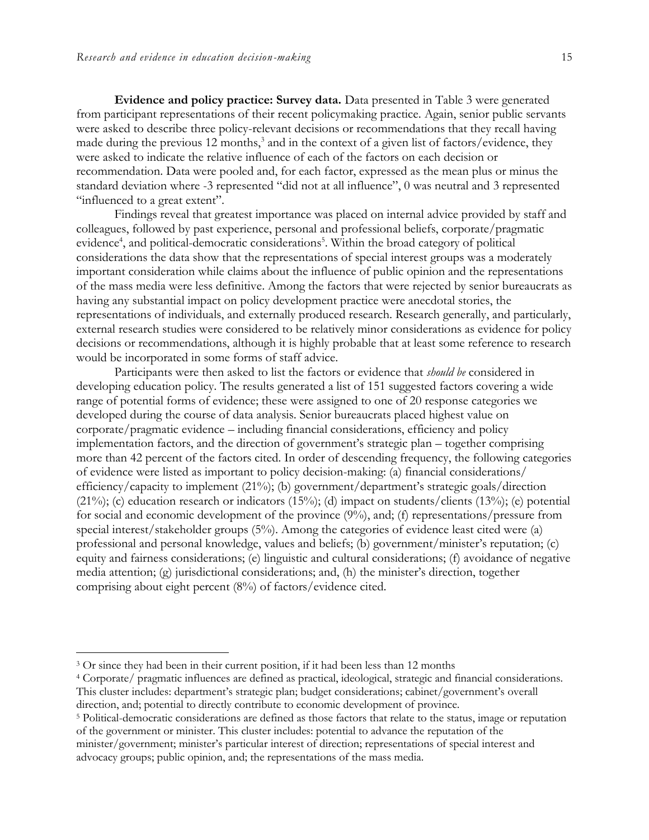**Evidence and policy practice: Survey data.** Data presented in Table 3 were generated from participant representations of their recent policymaking practice. Again, senior public servants were asked to describe three policy-relevant decisions or recommendations that they recall having made during the previous 12 months,<sup>3</sup> and in the context of a given list of factors/evidence, they were asked to indicate the relative influence of each of the factors on each decision or recommendation. Data were pooled and, for each factor, expressed as the mean plus or minus the standard deviation where -3 represented "did not at all influence", 0 was neutral and 3 represented "influenced to a great extent".

Findings reveal that greatest importance was placed on internal advice provided by staff and colleagues, followed by past experience, personal and professional beliefs, corporate/pragmatic evidence<sup>4</sup>, and political-democratic considerations<sup>5</sup>. Within the broad category of political considerations the data show that the representations of special interest groups was a moderately important consideration while claims about the influence of public opinion and the representations of the mass media were less definitive. Among the factors that were rejected by senior bureaucrats as having any substantial impact on policy development practice were anecdotal stories, the representations of individuals, and externally produced research. Research generally, and particularly, external research studies were considered to be relatively minor considerations as evidence for policy decisions or recommendations, although it is highly probable that at least some reference to research would be incorporated in some forms of staff advice.

Participants were then asked to list the factors or evidence that *should be* considered in developing education policy. The results generated a list of 151 suggested factors covering a wide range of potential forms of evidence; these were assigned to one of 20 response categories we developed during the course of data analysis. Senior bureaucrats placed highest value on corporate/pragmatic evidence – including financial considerations, efficiency and policy implementation factors, and the direction of government's strategic plan – together comprising more than 42 percent of the factors cited. In order of descending frequency, the following categories of evidence were listed as important to policy decision-making: (a) financial considerations/ efficiency/capacity to implement (21%); (b) government/department's strategic goals/direction  $(21\%)$ ; (c) education research or indicators  $(15\%)$ ; (d) impact on students/clients  $(13\%)$ ; (e) potential for social and economic development of the province (9%), and; (f) representations/pressure from special interest/stakeholder groups (5%). Among the categories of evidence least cited were (a) professional and personal knowledge, values and beliefs; (b) government/minister's reputation; (c) equity and fairness considerations; (e) linguistic and cultural considerations; (f) avoidance of negative media attention; (g) jurisdictional considerations; and, (h) the minister's direction, together comprising about eight percent (8%) of factors/evidence cited.

advocacy groups; public opinion, and; the representations of the mass media.

 $\overline{a}$ 

<sup>&</sup>lt;sup>3</sup> Or since they had been in their current position, if it had been less than 12 months

<sup>4</sup> Corporate/ pragmatic influences are defined as practical, ideological, strategic and financial considerations. This cluster includes: department's strategic plan; budget considerations; cabinet/government's overall direction, and; potential to directly contribute to economic development of province.

<sup>5</sup> Political-democratic considerations are defined as those factors that relate to the status, image or reputation of the government or minister. This cluster includes: potential to advance the reputation of the minister/government; minister's particular interest of direction; representations of special interest and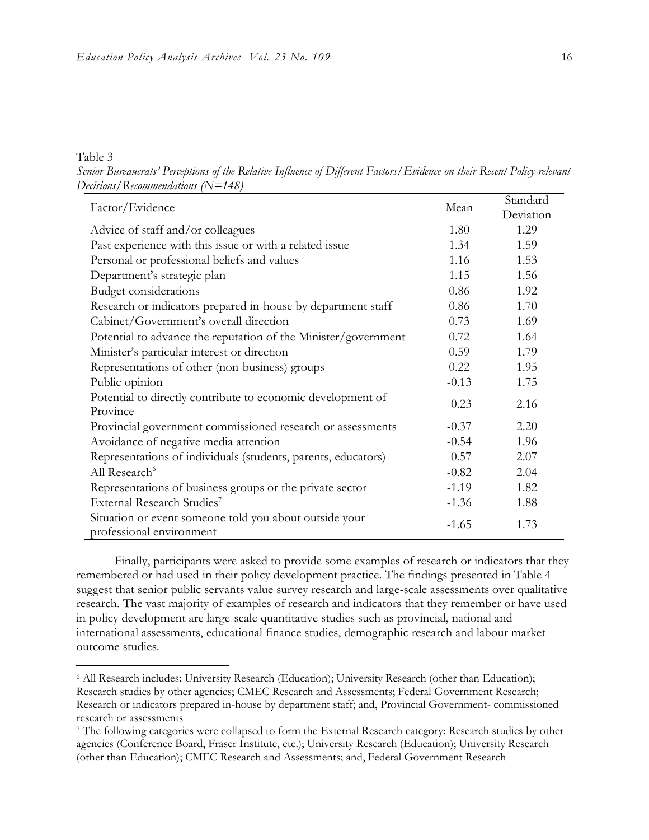#### Table 3

 $\overline{a}$ 

*Senior Bureaucrats' Perceptions of the Relative Influence of Different Factors/Evidence on their Recent Policy-relevant Decisions/Recommendations (N=148)*

| Factor/Evidence                                                                    | Mean    | Standard  |
|------------------------------------------------------------------------------------|---------|-----------|
|                                                                                    |         | Deviation |
| Advice of staff and/or colleagues                                                  | 1.80    | 1.29      |
| Past experience with this issue or with a related issue                            | 1.34    | 1.59      |
| Personal or professional beliefs and values                                        | 1.16    | 1.53      |
| Department's strategic plan                                                        | 1.15    | 1.56      |
| <b>Budget considerations</b>                                                       | 0.86    | 1.92      |
| Research or indicators prepared in-house by department staff                       | 0.86    | 1.70      |
| Cabinet/Government's overall direction                                             | 0.73    | 1.69      |
| Potential to advance the reputation of the Minister/government                     | 0.72    | 1.64      |
| Minister's particular interest or direction                                        | 0.59    | 1.79      |
| Representations of other (non-business) groups                                     | 0.22    | 1.95      |
| Public opinion                                                                     | $-0.13$ | 1.75      |
| Potential to directly contribute to economic development of<br>Province            | $-0.23$ | 2.16      |
| Provincial government commissioned research or assessments                         | $-0.37$ | 2.20      |
| Avoidance of negative media attention                                              | $-0.54$ | 1.96      |
| Representations of individuals (students, parents, educators)                      | $-0.57$ | 2.07      |
| All Research <sup>6</sup>                                                          | $-0.82$ | 2.04      |
| Representations of business groups or the private sector                           | $-1.19$ | 1.82      |
| External Research Studies <sup>7</sup>                                             | $-1.36$ | 1.88      |
| Situation or event someone told you about outside your<br>professional environment | $-1.65$ | 1.73      |

Finally, participants were asked to provide some examples of research or indicators that they remembered or had used in their policy development practice. The findings presented in Table 4 suggest that senior public servants value survey research and large-scale assessments over qualitative research. The vast majority of examples of research and indicators that they remember or have used in policy development are large-scale quantitative studies such as provincial, national and international assessments, educational finance studies, demographic research and labour market outcome studies.

<sup>6</sup> All Research includes: University Research (Education); University Research (other than Education); Research studies by other agencies; CMEC Research and Assessments; Federal Government Research; Research or indicators prepared in-house by department staff; and, Provincial Government- commissioned research or assessments

<sup>7</sup> The following categories were collapsed to form the External Research category: Research studies by other agencies (Conference Board, Fraser Institute, etc.); University Research (Education); University Research (other than Education); CMEC Research and Assessments; and, Federal Government Research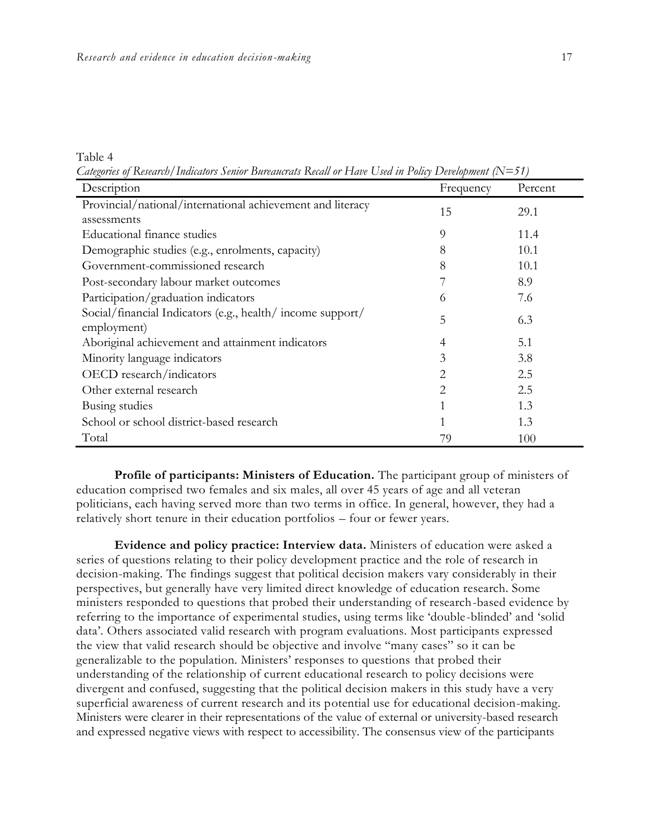Table 4

*Categories of Research/Indicators Senior Bureaucrats Recall or Have Used in Policy Development (N=51)*

| Description                                                               | Frequency | Percent |
|---------------------------------------------------------------------------|-----------|---------|
| Provincial/national/international achievement and literacy<br>assessments | 15        | 29.1    |
| Educational finance studies                                               | 9         | 11.4    |
| Demographic studies (e.g., enrolments, capacity)                          | 8         | 10.1    |
| Government-commissioned research                                          | 8         | 10.1    |
| Post-secondary labour market outcomes                                     |           | 8.9     |
| Participation/graduation indicators                                       | 6         | 7.6     |
| Social/financial Indicators (e.g., health/income support/<br>employment)  | 5         | 6.3     |
| Aboriginal achievement and attainment indicators                          | 4         | 5.1     |
| Minority language indicators                                              | 3         | 3.8     |
| OECD research/indicators                                                  | 2         | 2.5     |
| Other external research                                                   | 2         | 2.5     |
| Busing studies                                                            |           | 1.3     |
| School or school district-based research                                  |           | 1.3     |
| Total                                                                     | 79        | 100     |

**Profile of participants: Ministers of Education.** The participant group of ministers of education comprised two females and six males, all over 45 years of age and all veteran politicians, each having served more than two terms in office. In general, however, they had a relatively short tenure in their education portfolios – four or fewer years.

**Evidence and policy practice: Interview data.** Ministers of education were asked a series of questions relating to their policy development practice and the role of research in decision-making. The findings suggest that political decision makers vary considerably in their perspectives, but generally have very limited direct knowledge of education research. Some ministers responded to questions that probed their understanding of research-based evidence by referring to the importance of experimental studies, using terms like 'double-blinded' and 'solid data'. Others associated valid research with program evaluations. Most participants expressed the view that valid research should be objective and involve "many cases" so it can be generalizable to the population. Ministers' responses to questions that probed their understanding of the relationship of current educational research to policy decisions were divergent and confused, suggesting that the political decision makers in this study have a very superficial awareness of current research and its potential use for educational decision-making. Ministers were clearer in their representations of the value of external or university-based research and expressed negative views with respect to accessibility. The consensus view of the participants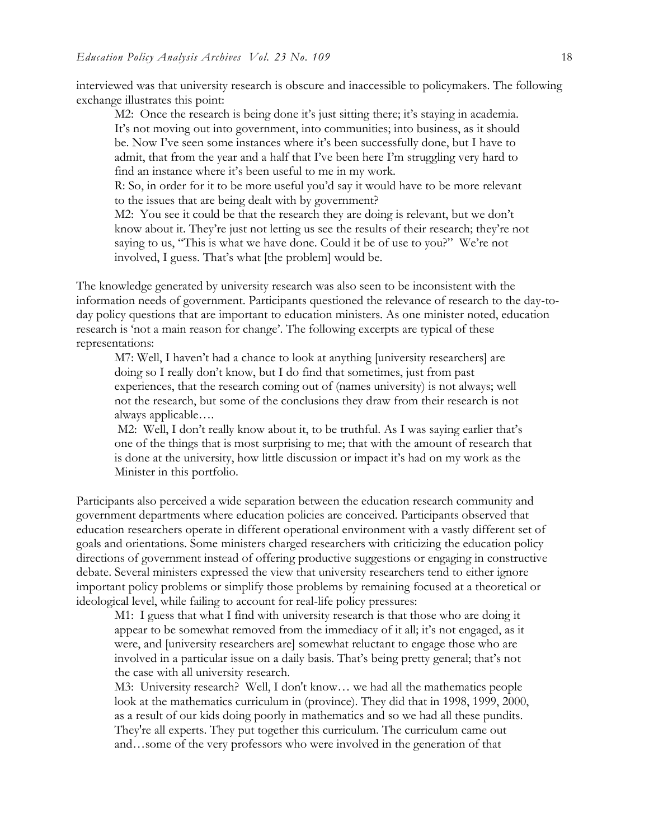interviewed was that university research is obscure and inaccessible to policymakers. The following exchange illustrates this point:

M2: Once the research is being done it's just sitting there; it's staying in academia. It's not moving out into government, into communities; into business, as it should be. Now I've seen some instances where it's been successfully done, but I have to admit, that from the year and a half that I've been here I'm struggling very hard to find an instance where it's been useful to me in my work.

R: So, in order for it to be more useful you'd say it would have to be more relevant to the issues that are being dealt with by government?

M2: You see it could be that the research they are doing is relevant, but we don't know about it. They're just not letting us see the results of their research; they're not saying to us, "This is what we have done. Could it be of use to you?" We're not involved, I guess. That's what [the problem] would be.

The knowledge generated by university research was also seen to be inconsistent with the information needs of government. Participants questioned the relevance of research to the day-today policy questions that are important to education ministers. As one minister noted, education research is 'not a main reason for change'. The following excerpts are typical of these representations:

M7: Well, I haven't had a chance to look at anything [university researchers] are doing so I really don't know, but I do find that sometimes, just from past experiences, that the research coming out of (names university) is not always; well not the research, but some of the conclusions they draw from their research is not always applicable….

M2: Well, I don't really know about it, to be truthful. As I was saying earlier that's one of the things that is most surprising to me; that with the amount of research that is done at the university, how little discussion or impact it's had on my work as the Minister in this portfolio.

Participants also perceived a wide separation between the education research community and government departments where education policies are conceived. Participants observed that education researchers operate in different operational environment with a vastly different set of goals and orientations. Some ministers charged researchers with criticizing the education policy directions of government instead of offering productive suggestions or engaging in constructive debate. Several ministers expressed the view that university researchers tend to either ignore important policy problems or simplify those problems by remaining focused at a theoretical or ideological level, while failing to account for real-life policy pressures:

M1: I guess that what I find with university research is that those who are doing it appear to be somewhat removed from the immediacy of it all; it's not engaged, as it were, and [university researchers are] somewhat reluctant to engage those who are involved in a particular issue on a daily basis. That's being pretty general; that's not the case with all university research.

M3: University research? Well, I don't know… we had all the mathematics people look at the mathematics curriculum in (province). They did that in 1998, 1999, 2000, as a result of our kids doing poorly in mathematics and so we had all these pundits. They're all experts. They put together this curriculum. The curriculum came out and…some of the very professors who were involved in the generation of that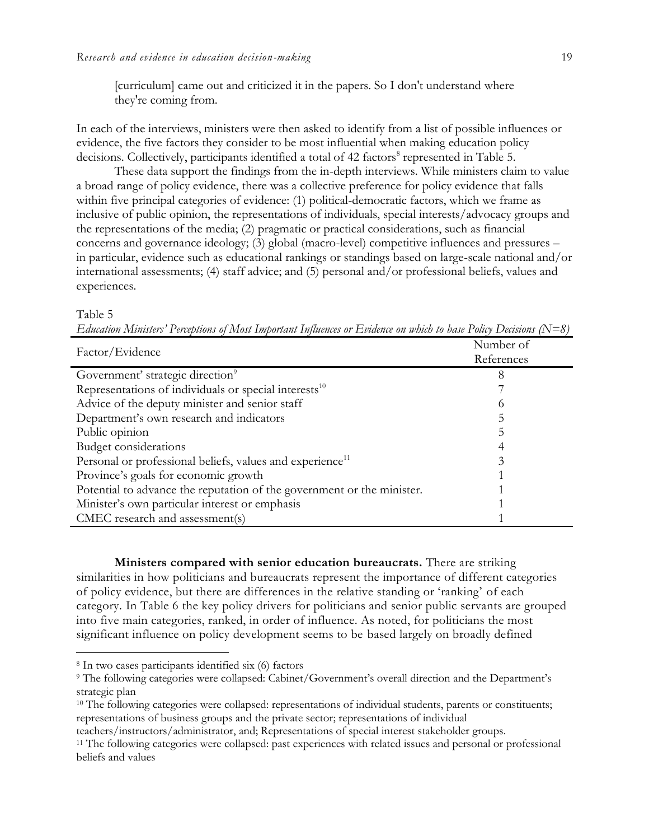[curriculum] came out and criticized it in the papers. So I don't understand where they're coming from.

In each of the interviews, ministers were then asked to identify from a list of possible influences or evidence, the five factors they consider to be most influential when making education policy decisions. Collectively, participants identified a total of 42 factors<sup>8</sup> represented in Table 5.

These data support the findings from the in-depth interviews. While ministers claim to value a broad range of policy evidence, there was a collective preference for policy evidence that falls within five principal categories of evidence: (1) political-democratic factors, which we frame as inclusive of public opinion, the representations of individuals, special interests/advocacy groups and the representations of the media; (2) pragmatic or practical considerations, such as financial concerns and governance ideology; (3) global (macro-level) competitive influences and pressures – in particular, evidence such as educational rankings or standings based on large-scale national and/or international assessments; (4) staff advice; and (5) personal and/or professional beliefs, values and experiences.

#### Table 5

 $\overline{a}$ 

*Education Ministers' Perceptions of Most Important Influences or Evidence on which to base Policy Decisions (N=8)*

| Factor/Evidence                                                        | Number of  |  |  |
|------------------------------------------------------------------------|------------|--|--|
|                                                                        | References |  |  |
| Government' strategic direction <sup>9</sup>                           | 8          |  |  |
| Representations of individuals or special interests <sup>10</sup>      |            |  |  |
| Advice of the deputy minister and senior staff                         | O          |  |  |
| Department's own research and indicators                               |            |  |  |
| Public opinion                                                         |            |  |  |
| <b>Budget considerations</b>                                           |            |  |  |
| Personal or professional beliefs, values and experience <sup>11</sup>  |            |  |  |
| Province's goals for economic growth                                   |            |  |  |
| Potential to advance the reputation of the government or the minister. |            |  |  |
| Minister's own particular interest or emphasis                         |            |  |  |
| CMEC research and assessment(s)                                        |            |  |  |

**Ministers compared with senior education bureaucrats.** There are striking similarities in how politicians and bureaucrats represent the importance of different categories of policy evidence, but there are differences in the relative standing or 'ranking' of each category. In Table 6 the key policy drivers for politicians and senior public servants are grouped into five main categories, ranked, in order of influence. As noted, for politicians the most significant influence on policy development seems to be based largely on broadly defined

<sup>8</sup> In two cases participants identified six (6) factors

<sup>9</sup> The following categories were collapsed: Cabinet/Government's overall direction and the Department's strategic plan

<sup>&</sup>lt;sup>10</sup> The following categories were collapsed: representations of individual students, parents or constituents; representations of business groups and the private sector; representations of individual

teachers/instructors/administrator, and; Representations of special interest stakeholder groups.

<sup>11</sup> The following categories were collapsed: past experiences with related issues and personal or professional beliefs and values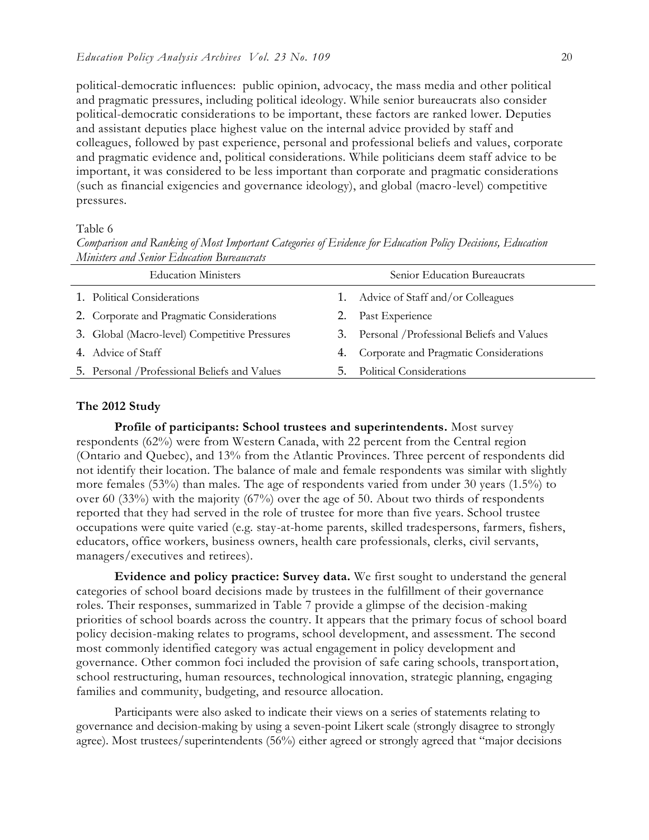political-democratic influences: public opinion, advocacy, the mass media and other political and pragmatic pressures, including political ideology. While senior bureaucrats also consider political-democratic considerations to be important, these factors are ranked lower. Deputies and assistant deputies place highest value on the internal advice provided by staff and colleagues, followed by past experience, personal and professional beliefs and values, corporate and pragmatic evidence and, political considerations. While politicians deem staff advice to be important, it was considered to be less important than corporate and pragmatic considerations (such as financial exigencies and governance ideology), and global (macro-level) competitive pressures.

Table 6

*Comparison and Ranking of Most Important Categories of Evidence for Education Policy Decisions, Education Ministers and Senior Education Bureaucrats*

| <b>Education Ministers</b> |                                               |    | Senior Education Bureaucrats                  |  |
|----------------------------|-----------------------------------------------|----|-----------------------------------------------|--|
|                            | 1. Political Considerations                   |    | 1. Advice of Staff and/or Colleagues          |  |
|                            | 2. Corporate and Pragmatic Considerations     |    | Past Experience                               |  |
|                            | 3. Global (Macro-level) Competitive Pressures |    | 3. Personal / Professional Beliefs and Values |  |
|                            | 4. Advice of Staff                            | 4. | Corporate and Pragmatic Considerations        |  |
|                            | 5. Personal / Professional Beliefs and Values | 5. | <b>Political Considerations</b>               |  |

#### **The 2012 Study**

**Profile of participants: School trustees and superintendents.** Most survey respondents (62%) were from Western Canada, with 22 percent from the Central region (Ontario and Quebec), and 13% from the Atlantic Provinces. Three percent of respondents did not identify their location. The balance of male and female respondents was similar with slightly more females (53%) than males. The age of respondents varied from under 30 years (1.5%) to over 60 (33%) with the majority (67%) over the age of 50. About two thirds of respondents reported that they had served in the role of trustee for more than five years. School trustee occupations were quite varied (e.g. stay-at-home parents, skilled tradespersons, farmers, fishers, educators, office workers, business owners, health care professionals, clerks, civil servants, managers/executives and retirees).

**Evidence and policy practice: Survey data.** We first sought to understand the general categories of school board decisions made by trustees in the fulfillment of their governance roles. Their responses, summarized in Table 7 provide a glimpse of the decision-making priorities of school boards across the country. It appears that the primary focus of school board policy decision-making relates to programs, school development, and assessment. The second most commonly identified category was actual engagement in policy development and governance. Other common foci included the provision of safe caring schools, transport ation, school restructuring, human resources, technological innovation, strategic planning, engaging families and community, budgeting, and resource allocation.

Participants were also asked to indicate their views on a series of statements relating to governance and decision-making by using a seven-point Likert scale (strongly disagree to strongly agree). Most trustees/superintendents (56%) either agreed or strongly agreed that "major decisions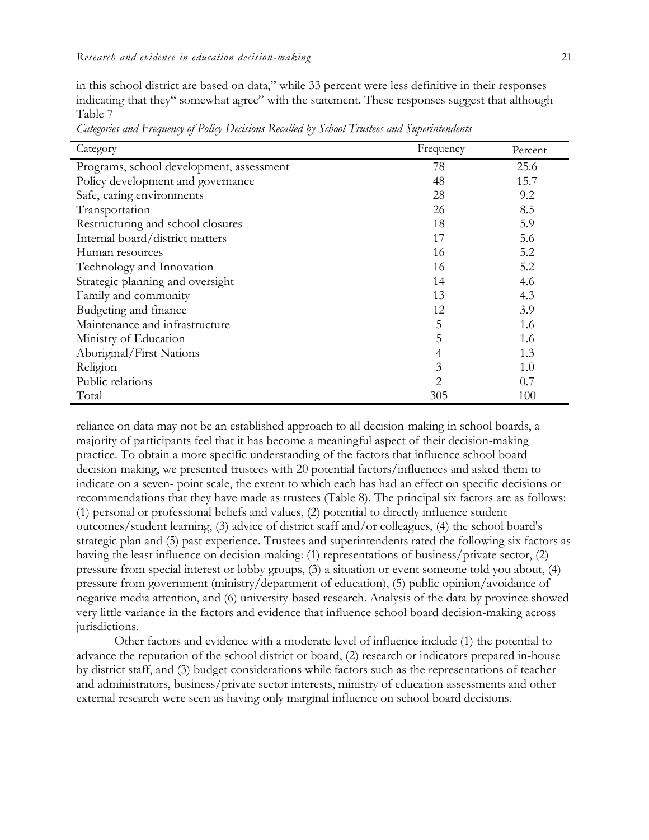in this school district are based on data," while 33 percent were less definitive in their responses indicating that they" somewhat agree" with the statement. These responses suggest that although Table 7

| Category                                 | Frequency | Percent |
|------------------------------------------|-----------|---------|
| Programs, school development, assessment | 78        | 25.6    |
| Policy development and governance        | 48        | 15.7    |
| Safe, caring environments                | 28        | 9.2     |
| Transportation                           | 26        | 8.5     |
| Restructuring and school closures        | 18        | 5.9     |
| Internal board/district matters          | 17        | 5.6     |
| Human resources                          | 16        | 5.2     |
| Technology and Innovation                | 16        | 5.2     |
| Strategic planning and oversight         | 14        | 4.6     |
| Family and community                     | 13        | 4.3     |
| Budgeting and finance                    | 12        | 3.9     |
| Maintenance and infrastructure           | 5         | 1.6     |
| Ministry of Education                    | 5         | 1.6     |
| Aboriginal/First Nations                 | 4         | 1.3     |
| Religion                                 | 3         | 1.0     |
| Public relations                         | 2         | 0.7     |
| Total                                    | 305       | 100     |

*Categories and Frequency of Policy Decisions Recalled by School Trustees and Superintendents*

reliance on data may not be an established approach to all decision-making in school boards, a majority of participants feel that it has become a meaningful aspect of their decision-making practice. To obtain a more specific understanding of the factors that influence school board decision-making, we presented trustees with 20 potential factors/influences and asked them to indicate on a seven- point scale, the extent to which each has had an effect on specific decisions or recommendations that they have made as trustees (Table 8). The principal six factors are as follows: (1) personal or professional beliefs and values, (2) potential to directly influence student outcomes/student learning, (3) advice of district staff and/or colleagues, (4) the school board's strategic plan and (5) past experience. Trustees and superintendents rated the following six factors as having the least influence on decision-making: (1) representations of business/private sector, (2) pressure from special interest or lobby groups, (3) a situation or event someone told you about, (4) pressure from government (ministry/department of education), (5) public opinion/avoidance of negative media attention, and (6) university-based research. Analysis of the data by province showed very little variance in the factors and evidence that influence school board decision-making across jurisdictions.

Other factors and evidence with a moderate level of influence include (1) the potential to advance the reputation of the school district or board, (2) research or indicators prepared in-house by district staff, and (3) budget considerations while factors such as the representations of teacher and administrators, business/private sector interests, ministry of education assessments and other external research were seen as having only marginal influence on school board decisions.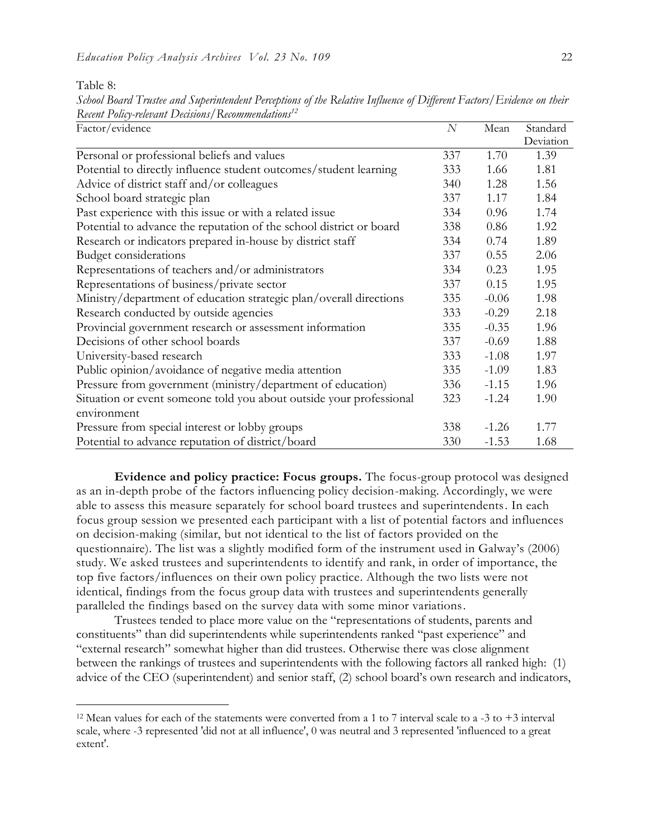Table 8:

 $\overline{a}$ 

*School Board Trustee and Superintendent Perceptions of the Relative Influence of Different Factors/Evidence on their Recent Policy-relevant Decisions/Recommendations<sup>12</sup>*

| Factor/evidence                                                     |     | Mean    | Standard  |
|---------------------------------------------------------------------|-----|---------|-----------|
|                                                                     |     |         | Deviation |
| Personal or professional beliefs and values                         | 337 | 1.70    | 1.39      |
| Potential to directly influence student outcomes/student learning   | 333 | 1.66    | 1.81      |
| Advice of district staff and/or colleagues                          | 340 | 1.28    | 1.56      |
| School board strategic plan                                         | 337 | 1.17    | 1.84      |
| Past experience with this issue or with a related issue             | 334 | 0.96    | 1.74      |
| Potential to advance the reputation of the school district or board | 338 | 0.86    | 1.92      |
| Research or indicators prepared in-house by district staff          | 334 | 0.74    | 1.89      |
| <b>Budget considerations</b>                                        | 337 | 0.55    | 2.06      |
| Representations of teachers and/or administrators                   | 334 | 0.23    | 1.95      |
| Representations of business/private sector                          | 337 | 0.15    | 1.95      |
| Ministry/department of education strategic plan/overall directions  | 335 | $-0.06$ | 1.98      |
| Research conducted by outside agencies                              | 333 | $-0.29$ | 2.18      |
| Provincial government research or assessment information            | 335 | $-0.35$ | 1.96      |
| Decisions of other school boards                                    | 337 | $-0.69$ | 1.88      |
| University-based research                                           | 333 | $-1.08$ | 1.97      |
| Public opinion/avoidance of negative media attention                | 335 | $-1.09$ | 1.83      |
| Pressure from government (ministry/department of education)         | 336 | $-1.15$ | 1.96      |
| Situation or event someone told you about outside your professional | 323 | $-1.24$ | 1.90      |
| environment                                                         |     |         |           |
| Pressure from special interest or lobby groups                      | 338 | $-1.26$ | 1.77      |
| Potential to advance reputation of district/board                   | 330 | $-1.53$ | 1.68      |

**Evidence and policy practice: Focus groups.** The focus-group protocol was designed as an in-depth probe of the factors influencing policy decision-making. Accordingly, we were able to assess this measure separately for school board trustees and superintendents. In each focus group session we presented each participant with a list of potential factors and influences on decision-making (similar, but not identical to the list of factors provided on the questionnaire). The list was a slightly modified form of the instrument used in Galway's (2006) study. We asked trustees and superintendents to identify and rank, in order of importance, the top five factors/influences on their own policy practice. Although the two lists were not identical, findings from the focus group data with trustees and superintendents generally paralleled the findings based on the survey data with some minor variations.

Trustees tended to place more value on the "representations of students, parents and constituents" than did superintendents while superintendents ranked "past experience" and "external research" somewhat higher than did trustees. Otherwise there was close alignment between the rankings of trustees and superintendents with the following factors all ranked high: (1) advice of the CEO (superintendent) and senior staff, (2) school board's own research and indicators,

<sup>&</sup>lt;sup>12</sup> Mean values for each of the statements were converted from a 1 to 7 interval scale to a -3 to +3 interval scale, where -3 represented 'did not at all influence', 0 was neutral and 3 represented 'influenced to a great extent'.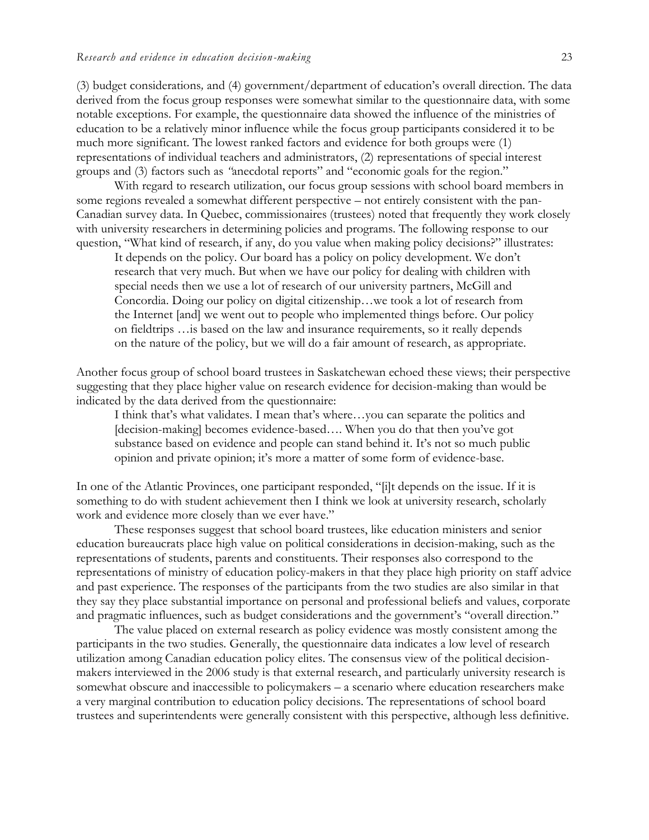(3) budget considerations*,* and (4) government/department of education's overall direction. The data derived from the focus group responses were somewhat similar to the questionnaire data, with some notable exceptions. For example, the questionnaire data showed the influence of the ministries of education to be a relatively minor influence while the focus group participants considered it to be much more significant. The lowest ranked factors and evidence for both groups were (1) representations of individual teachers and administrators, (2) representations of special interest groups and (3) factors such as *"*anecdotal reports" and "economic goals for the region."

With regard to research utilization, our focus group sessions with school board members in some regions revealed a somewhat different perspective – not entirely consistent with the pan-Canadian survey data. In Quebec, commissionaires (trustees) noted that frequently they work closely with university researchers in determining policies and programs. The following response to our question, "What kind of research, if any, do you value when making policy decisions?" illustrates:

It depends on the policy. Our board has a policy on policy development. We don't research that very much. But when we have our policy for dealing with children with special needs then we use a lot of research of our university partners, McGill and Concordia. Doing our policy on digital citizenship…we took a lot of research from the Internet [and] we went out to people who implemented things before. Our policy on fieldtrips …is based on the law and insurance requirements, so it really depends on the nature of the policy, but we will do a fair amount of research, as appropriate.

Another focus group of school board trustees in Saskatchewan echoed these views; their perspective suggesting that they place higher value on research evidence for decision-making than would be indicated by the data derived from the questionnaire:

I think that's what validates. I mean that's where…you can separate the politics and [decision-making] becomes evidence-based.... When you do that then you've got substance based on evidence and people can stand behind it. It's not so much public opinion and private opinion; it's more a matter of some form of evidence-base.

In one of the Atlantic Provinces, one participant responded, "[i]t depends on the issue. If it is something to do with student achievement then I think we look at university research, scholarly work and evidence more closely than we ever have."

These responses suggest that school board trustees, like education ministers and senior education bureaucrats place high value on political considerations in decision-making, such as the representations of students, parents and constituents. Their responses also correspond to the representations of ministry of education policy-makers in that they place high priority on staff advice and past experience. The responses of the participants from the two studies are also similar in that they say they place substantial importance on personal and professional beliefs and values, corporate and pragmatic influences, such as budget considerations and the government's "overall direction."

The value placed on external research as policy evidence was mostly consistent among the participants in the two studies. Generally, the questionnaire data indicates a low level of research utilization among Canadian education policy elites. The consensus view of the political decisionmakers interviewed in the 2006 study is that external research, and particularly university research is somewhat obscure and inaccessible to policymakers – a scenario where education researchers make a very marginal contribution to education policy decisions. The representations of school board trustees and superintendents were generally consistent with this perspective, although less definitive.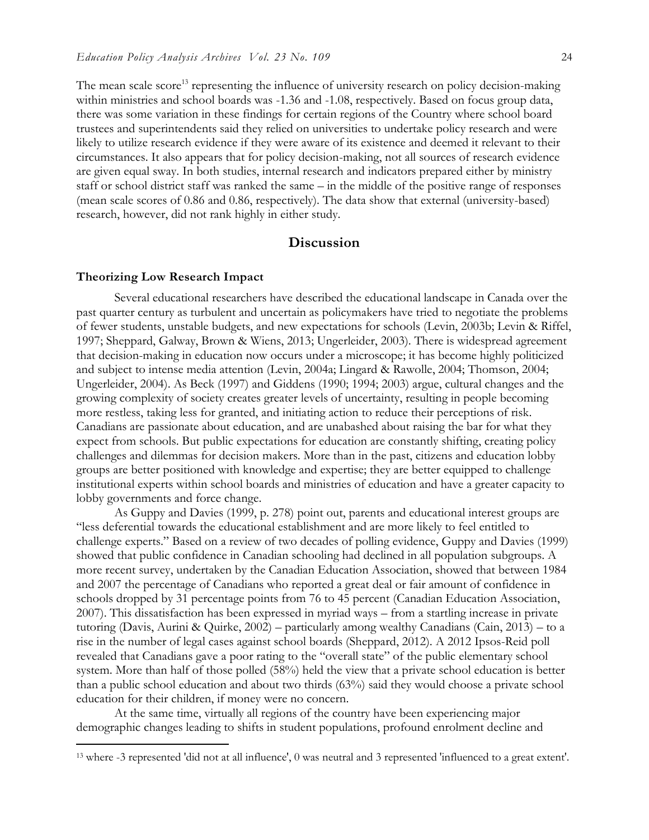The mean scale score<sup>13</sup> representing the influence of university research on policy decision-making within ministries and school boards was -1.36 and -1.08, respectively. Based on focus group data, there was some variation in these findings for certain regions of the Country where school board trustees and superintendents said they relied on universities to undertake policy research and were likely to utilize research evidence if they were aware of its existence and deemed it relevant to their circumstances. It also appears that for policy decision-making, not all sources of research evidence are given equal sway. In both studies, internal research and indicators prepared either by ministry staff or school district staff was ranked the same – in the middle of the positive range of responses (mean scale scores of 0.86 and 0.86, respectively). The data show that external (university-based) research, however, did not rank highly in either study.

### **Discussion**

#### **Theorizing Low Research Impact**

 $\overline{a}$ 

Several educational researchers have described the educational landscape in Canada over the past quarter century as turbulent and uncertain as policymakers have tried to negotiate the problems of fewer students, unstable budgets, and new expectations for schools (Levin, 2003b; Levin & Riffel, 1997; Sheppard, Galway, Brown & Wiens, 2013; Ungerleider, 2003). There is widespread agreement that decision-making in education now occurs under a microscope; it has become highly politicized and subject to intense media attention (Levin, 2004a; Lingard & Rawolle, 2004; Thomson, 2004; Ungerleider, 2004). As Beck (1997) and Giddens (1990; 1994; 2003) argue, cultural changes and the growing complexity of society creates greater levels of uncertainty, resulting in people becoming more restless, taking less for granted, and initiating action to reduce their perceptions of risk. Canadians are passionate about education, and are unabashed about raising the bar for what they expect from schools. But public expectations for education are constantly shifting, creating policy challenges and dilemmas for decision makers. More than in the past, citizens and education lobby groups are better positioned with knowledge and expertise; they are better equipped to challenge institutional experts within school boards and ministries of education and have a greater capacity to lobby governments and force change.

As Guppy and Davies (1999, p. 278) point out, parents and educational interest groups are "less deferential towards the educational establishment and are more likely to feel entitled to challenge experts." Based on a review of two decades of polling evidence, Guppy and Davies (1999) showed that public confidence in Canadian schooling had declined in all population subgroups. A more recent survey, undertaken by the Canadian Education Association, showed that between 1984 and 2007 the percentage of Canadians who reported a great deal or fair amount of confidence in schools dropped by 31 percentage points from 76 to 45 percent (Canadian Education Association, 2007). This dissatisfaction has been expressed in myriad ways – from a startling increase in private tutoring (Davis, Aurini & Quirke, 2002) – particularly among wealthy Canadians (Cain, 2013) – to a rise in the number of legal cases against school boards (Sheppard, 2012). A 2012 Ipsos-Reid poll revealed that Canadians gave a poor rating to the "overall state" of the public elementary school system. More than half of those polled (58%) held the view that a private school education is better than a public school education and about two thirds (63%) said they would choose a private school education for their children, if money were no concern.

At the same time, virtually all regions of the country have been experiencing major demographic changes leading to shifts in student populations, profound enrolment decline and

<sup>13</sup> where -3 represented 'did not at all influence', 0 was neutral and 3 represented 'influenced to a great extent'.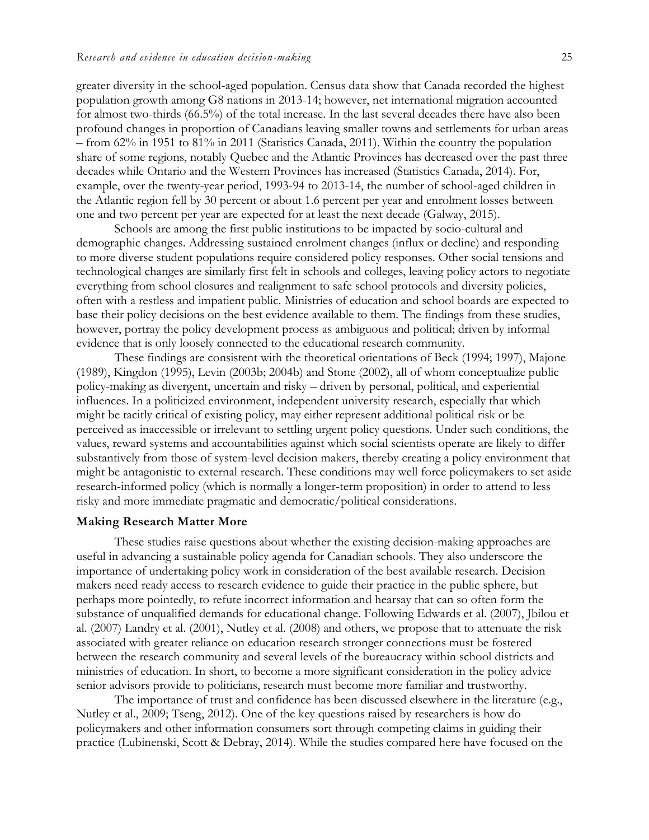greater diversity in the school-aged population. Census data show that Canada recorded the highest population growth among G8 nations in 2013-14; however, net international migration accounted for almost two-thirds (66.5%) of the total increase. In the last several decades there have also been profound changes in proportion of Canadians leaving smaller towns and settlements for urban areas  $-$  from 62% in 1951 to 81% in 2011 (Statistics Canada, 2011). Within the country the population share of some regions, notably Quebec and the Atlantic Provinces has decreased over the past three decades while Ontario and the Western Provinces has increased (Statistics Canada, 2014). For, example, over the twenty-year period, 1993-94 to 2013-14, the number of school-aged children in the Atlantic region fell by 30 percent or about 1.6 percent per year and enrolment losses between one and two percent per year are expected for at least the next decade (Galway, 2015).

Schools are among the first public institutions to be impacted by socio-cultural and demographic changes. Addressing sustained enrolment changes (influx or decline) and responding to more diverse student populations require considered policy responses. Other social tensions and technological changes are similarly first felt in schools and colleges, leaving policy actors to negotiate everything from school closures and realignment to safe school protocols and diversity policies, often with a restless and impatient public. Ministries of education and school boards are expected to base their policy decisions on the best evidence available to them. The findings from these studies, however, portray the policy development process as ambiguous and political; driven by informal evidence that is only loosely connected to the educational research community.

These findings are consistent with the theoretical orientations of Beck (1994; 1997), Majone (1989), Kingdon (1995), Levin (2003b; 2004b) and Stone (2002), all of whom conceptualize public policy-making as divergent, uncertain and risky – driven by personal, political, and experiential influences. In a politicized environment, independent university research, especially that which might be tacitly critical of existing policy, may either represent additional political risk or be perceived as inaccessible or irrelevant to settling urgent policy questions. Under such conditions, the values, reward systems and accountabilities against which social scientists operate are likely to differ substantively from those of system-level decision makers, thereby creating a policy environment that might be antagonistic to external research. These conditions may well force policymakers to set aside research-informed policy (which is normally a longer-term proposition) in order to attend to less risky and more immediate pragmatic and democratic/political considerations.

## **Making Research Matter More**

These studies raise questions about whether the existing decision-making approaches are useful in advancing a sustainable policy agenda for Canadian schools. They also underscore the importance of undertaking policy work in consideration of the best available research. Decision makers need ready access to research evidence to guide their practice in the public sphere, but perhaps more pointedly, to refute incorrect information and hearsay that can so often form the substance of unqualified demands for educational change. Following Edwards et al. (2007), Jbilou et al. (2007) Landry et al. (2001), Nutley et al. (2008) and others, we propose that to attenuate the risk associated with greater reliance on education research stronger connections must be fostered between the research community and several levels of the bureaucracy within school districts and ministries of education. In short, to become a more significant consideration in the policy advice senior advisors provide to politicians, research must become more familiar and trustworthy.

The importance of trust and confidence has been discussed elsewhere in the literature (e.g., Nutley et al., 2009; Tseng, 2012). One of the key questions raised by researchers is how do policymakers and other information consumers sort through competing claims in guiding their practice (Lubinenski, Scott & Debray, 2014). While the studies compared here have focused on the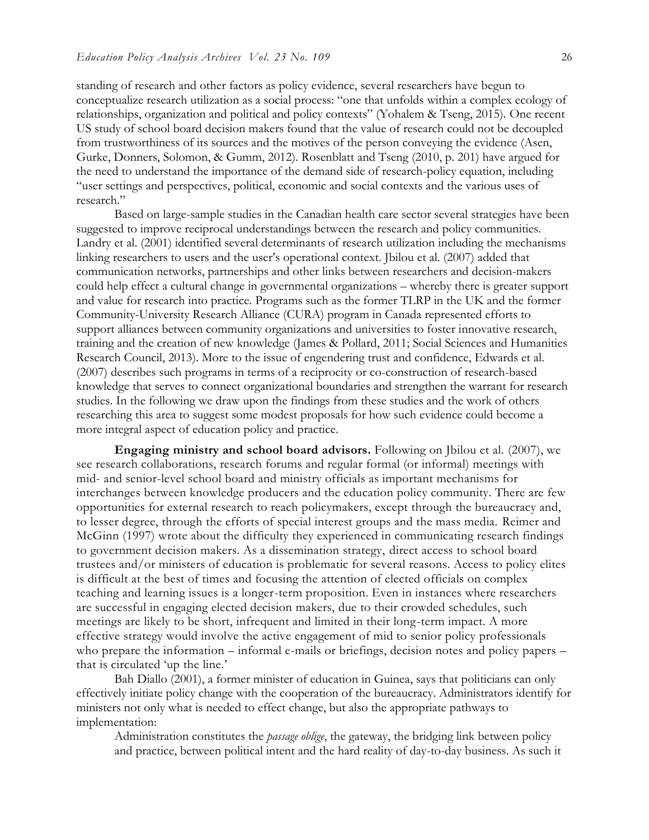standing of research and other factors as policy evidence, several researchers have begun to conceptualize research utilization as a social process: "one that unfolds within a complex ecology of relationships, organization and political and policy contexts" (Yohalem & Tseng, 2015). One recent US study of school board decision makers found that the value of research could not be decoupled from trustworthiness of its sources and the motives of the person conveying the evidence (Asen, Gurke, Donners, Solomon, & Gumm, 2012). Rosenblatt and Tseng (2010, p. 201) have argued for the need to understand the importance of the demand side of research-policy equation, including "user settings and perspectives, political, economic and social contexts and the various uses of research."

Based on large-sample studies in the Canadian health care sector several strategies have been suggested to improve reciprocal understandings between the research and policy communities. Landry et al. (2001) identified several determinants of research utilization including the mechanisms linking researchers to users and the user's operational context. Jbilou et al. (2007) added that communication networks, partnerships and other links between researchers and decision-makers could help effect a cultural change in governmental organizations – whereby there is greater support and value for research into practice. Programs such as the former TLRP in the UK and the former Community-University Research Alliance (CURA) program in Canada represented efforts to support alliances between community organizations and universities to foster innovative research, training and the creation of new knowledge (James & Pollard, 2011; Social Sciences and Humanities Research Council, 2013). More to the issue of engendering trust and confidence, Edwards et al. (2007) describes such programs in terms of a reciprocity or co-construction of research-based knowledge that serves to connect organizational boundaries and strengthen the warrant for research studies. In the following we draw upon the findings from these studies and the work of others researching this area to suggest some modest proposals for how such evidence could become a more integral aspect of education policy and practice.

**Engaging ministry and school board advisors.** Following on Jbilou et al. (2007), we see research collaborations, research forums and regular formal (or informal) meetings with mid- and senior-level school board and ministry officials as important mechanisms for interchanges between knowledge producers and the education policy community. There are few opportunities for external research to reach policymakers, except through the bureaucracy and, to lesser degree, through the efforts of special interest groups and the mass media. Reimer and McGinn (1997) wrote about the difficulty they experienced in communicating research findings to government decision makers. As a dissemination strategy, direct access to school board trustees and/or ministers of education is problematic for several reasons. Access to policy elites is difficult at the best of times and focusing the attention of elected officials on complex teaching and learning issues is a longer-term proposition. Even in instances where researchers are successful in engaging elected decision makers, due to their crowded schedules, such meetings are likely to be short, infrequent and limited in their long-term impact. A more effective strategy would involve the active engagement of mid to senior policy professionals who prepare the information – informal e-mails or briefings, decision notes and policy papers – that is circulated 'up the line.'

Bah Diallo (2001), a former minister of education in Guinea, says that politicians can only effectively initiate policy change with the cooperation of the bureaucracy. Administrators identify for ministers not only what is needed to effect change, but also the appropriate pathways to implementation:

Administration constitutes the *passage oblige*, the gateway, the bridging link between policy and practice, between political intent and the hard reality of day-to-day business. As such it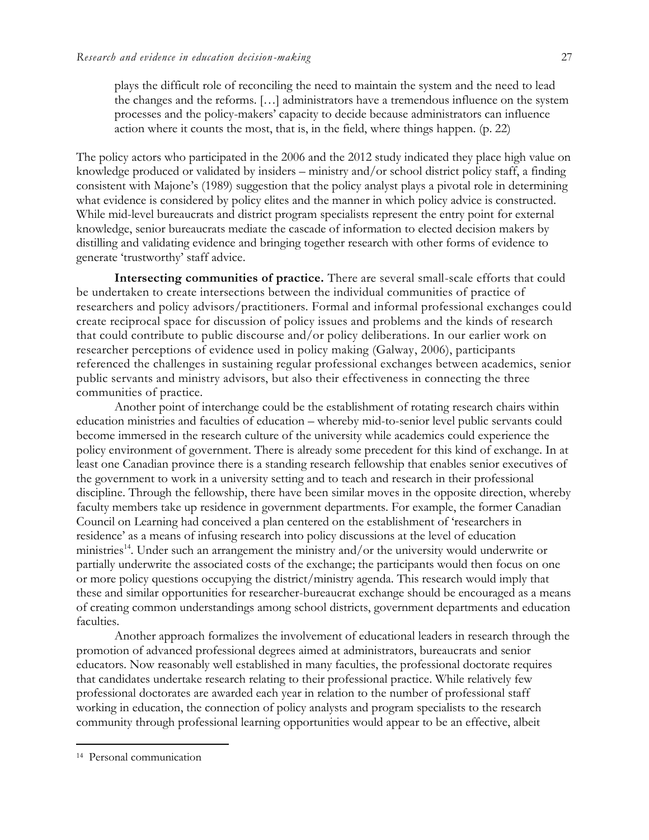plays the difficult role of reconciling the need to maintain the system and the need to lead the changes and the reforms. […] administrators have a tremendous influence on the system processes and the policy-makers' capacity to decide because administrators can influence action where it counts the most, that is, in the field, where things happen. (p. 22)

The policy actors who participated in the 2006 and the 2012 study indicated they place high value on knowledge produced or validated by insiders – ministry and/or school district policy staff, a finding consistent with Majone's (1989) suggestion that the policy analyst plays a pivotal role in determining what evidence is considered by policy elites and the manner in which policy advice is constructed. While mid-level bureaucrats and district program specialists represent the entry point for external knowledge, senior bureaucrats mediate the cascade of information to elected decision makers by distilling and validating evidence and bringing together research with other forms of evidence to generate 'trustworthy' staff advice.

**Intersecting communities of practice.** There are several small-scale efforts that could be undertaken to create intersections between the individual communities of practice of researchers and policy advisors/practitioners. Formal and informal professional exchanges could create reciprocal space for discussion of policy issues and problems and the kinds of research that could contribute to public discourse and/or policy deliberations. In our earlier work on researcher perceptions of evidence used in policy making (Galway, 2006), participants referenced the challenges in sustaining regular professional exchanges between academics, senior public servants and ministry advisors, but also their effectiveness in connecting the three communities of practice.

Another point of interchange could be the establishment of rotating research chairs within education ministries and faculties of education – whereby mid-to-senior level public servants could become immersed in the research culture of the university while academics could experience the policy environment of government. There is already some precedent for this kind of exchange. In at least one Canadian province there is a standing research fellowship that enables senior executives of the government to work in a university setting and to teach and research in their professional discipline. Through the fellowship, there have been similar moves in the opposite direction, whereby faculty members take up residence in government departments. For example, the former Canadian Council on Learning had conceived a plan centered on the establishment of 'researchers in residence' as a means of infusing research into policy discussions at the level of education ministries<sup>14</sup>. Under such an arrangement the ministry and/or the university would underwrite or partially underwrite the associated costs of the exchange; the participants would then focus on one or more policy questions occupying the district/ministry agenda. This research would imply that these and similar opportunities for researcher-bureaucrat exchange should be encouraged as a means of creating common understandings among school districts, government departments and education faculties.

Another approach formalizes the involvement of educational leaders in research through the promotion of advanced professional degrees aimed at administrators, bureaucrats and senior educators. Now reasonably well established in many faculties, the professional doctorate requires that candidates undertake research relating to their professional practice. While relatively few professional doctorates are awarded each year in relation to the number of professional staff working in education, the connection of policy analysts and program specialists to the research community through professional learning opportunities would appear to be an effective, albeit

 $\overline{a}$ 

<sup>14</sup> Personal communication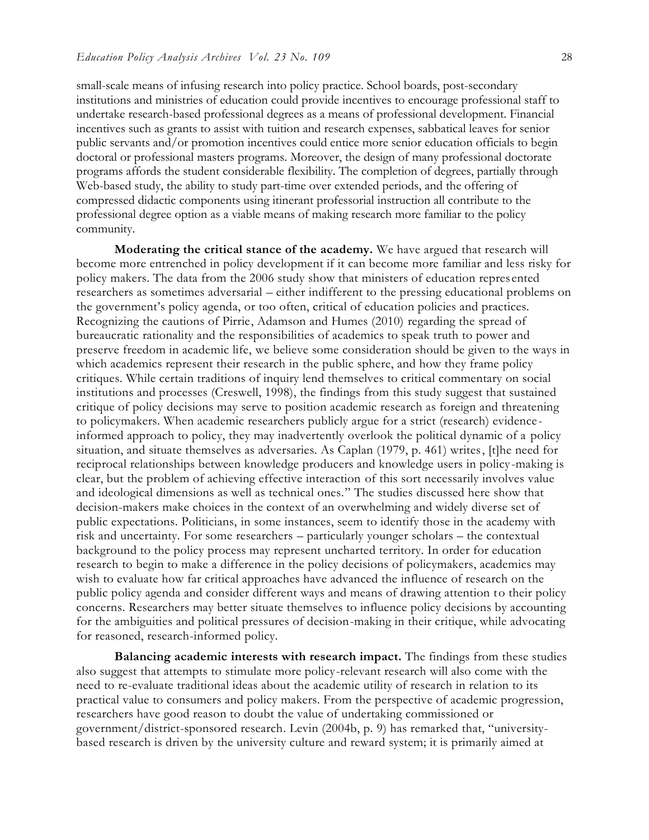small-scale means of infusing research into policy practice. School boards, post-secondary institutions and ministries of education could provide incentives to encourage professional staff to undertake research-based professional degrees as a means of professional development. Financial incentives such as grants to assist with tuition and research expenses, sabbatical leaves for senior public servants and/or promotion incentives could entice more senior education officials to begin doctoral or professional masters programs. Moreover, the design of many professional doctorate programs affords the student considerable flexibility. The completion of degrees, partially through Web-based study, the ability to study part-time over extended periods, and the offering of compressed didactic components using itinerant professorial instruction all contribute to the professional degree option as a viable means of making research more familiar to the policy community.

**Moderating the critical stance of the academy.** We have argued that research will become more entrenched in policy development if it can become more familiar and less risky for policy makers. The data from the 2006 study show that ministers of education represented researchers as sometimes adversarial – either indifferent to the pressing educational problems on the government's policy agenda, or too often, critical of education policies and practices. Recognizing the cautions of Pirrie, Adamson and Humes (2010) regarding the spread of bureaucratic rationality and the responsibilities of academics to speak truth to power and preserve freedom in academic life, we believe some consideration should be given to the ways in which academics represent their research in the public sphere, and how they frame policy critiques. While certain traditions of inquiry lend themselves to critical commentary on social institutions and processes (Creswell, 1998), the findings from this study suggest that sustained critique of policy decisions may serve to position academic research as foreign and threatening to policymakers. When academic researchers publicly argue for a strict (research) evidence informed approach to policy, they may inadvertently overlook the political dynamic of a policy situation, and situate themselves as adversaries. As Caplan (1979, p. 461) writes, [t]he need for reciprocal relationships between knowledge producers and knowledge users in policy -making is clear, but the problem of achieving effective interaction of this sort necessarily involves value and ideological dimensions as well as technical ones." The studies discussed here show that decision-makers make choices in the context of an overwhelming and widely diverse set of public expectations. Politicians, in some instances, seem to identify those in the academy with risk and uncertainty. For some researchers – particularly younger scholars – the contextual background to the policy process may represent uncharted territory. In order for education research to begin to make a difference in the policy decisions of policymakers, academics may wish to evaluate how far critical approaches have advanced the influence of research on the public policy agenda and consider different ways and means of drawing attention to their policy concerns. Researchers may better situate themselves to influence policy decisions by accounting for the ambiguities and political pressures of decision-making in their critique, while advocating for reasoned, research-informed policy.

**Balancing academic interests with research impact.** The findings from these studies also suggest that attempts to stimulate more policy-relevant research will also come with the need to re-evaluate traditional ideas about the academic utility of research in relation to its practical value to consumers and policy makers. From the perspective of academic progression, researchers have good reason to doubt the value of undertaking commissioned or government/district-sponsored research. Levin (2004b, p. 9) has remarked that, "universitybased research is driven by the university culture and reward system; it is primarily aimed at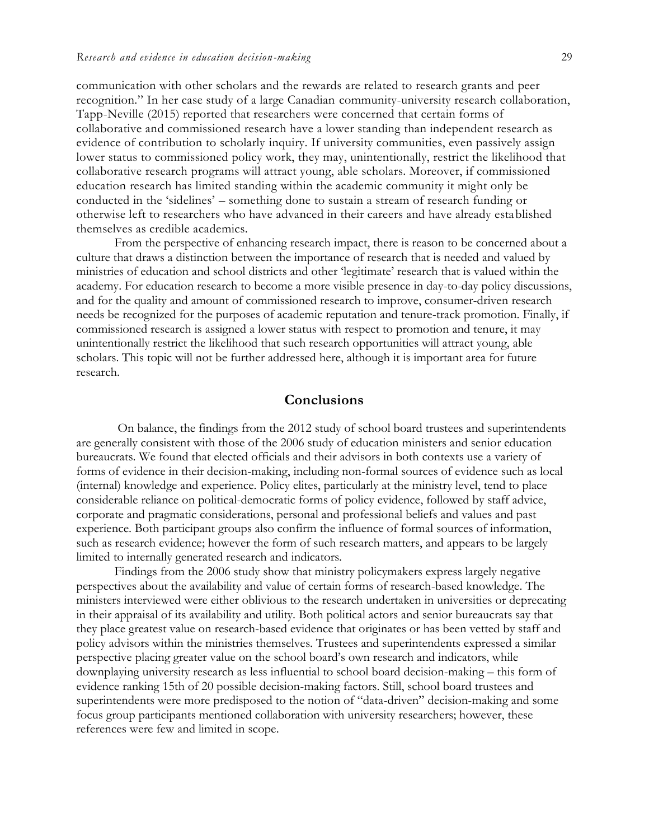communication with other scholars and the rewards are related to research grants and peer recognition." In her case study of a large Canadian community-university research collaboration, Tapp-Neville (2015) reported that researchers were concerned that certain forms of collaborative and commissioned research have a lower standing than independent research as evidence of contribution to scholarly inquiry. If university communities, even passively assign lower status to commissioned policy work, they may, unintentionally, restrict the likelihood that collaborative research programs will attract young, able scholars. Moreover, if commissioned education research has limited standing within the academic community it might only be conducted in the 'sidelines' – something done to sustain a stream of research funding or otherwise left to researchers who have advanced in their careers and have already established themselves as credible academics.

From the perspective of enhancing research impact, there is reason to be concerned about a culture that draws a distinction between the importance of research that is needed and valued by ministries of education and school districts and other 'legitimate' research that is valued within the academy. For education research to become a more visible presence in day-to-day policy discussions, and for the quality and amount of commissioned research to improve, consumer-driven research needs be recognized for the purposes of academic reputation and tenure-track promotion. Finally, if commissioned research is assigned a lower status with respect to promotion and tenure, it may unintentionally restrict the likelihood that such research opportunities will attract young, able scholars. This topic will not be further addressed here, although it is important area for future research.

## **Conclusions**

On balance, the findings from the 2012 study of school board trustees and superintendents are generally consistent with those of the 2006 study of education ministers and senior education bureaucrats. We found that elected officials and their advisors in both contexts use a variety of forms of evidence in their decision-making, including non-formal sources of evidence such as local (internal) knowledge and experience. Policy elites, particularly at the ministry level, tend to place considerable reliance on political-democratic forms of policy evidence, followed by staff advice, corporate and pragmatic considerations, personal and professional beliefs and values and past experience. Both participant groups also confirm the influence of formal sources of information, such as research evidence; however the form of such research matters, and appears to be largely limited to internally generated research and indicators.

Findings from the 2006 study show that ministry policymakers express largely negative perspectives about the availability and value of certain forms of research-based knowledge. The ministers interviewed were either oblivious to the research undertaken in universities or deprecating in their appraisal of its availability and utility. Both political actors and senior bureaucrats say that they place greatest value on research-based evidence that originates or has been vetted by staff and policy advisors within the ministries themselves. Trustees and superintendents expressed a similar perspective placing greater value on the school board's own research and indicators, while downplaying university research as less influential to school board decision-making – this form of evidence ranking 15th of 20 possible decision-making factors. Still, school board trustees and superintendents were more predisposed to the notion of "data-driven" decision-making and some focus group participants mentioned collaboration with university researchers; however, these references were few and limited in scope.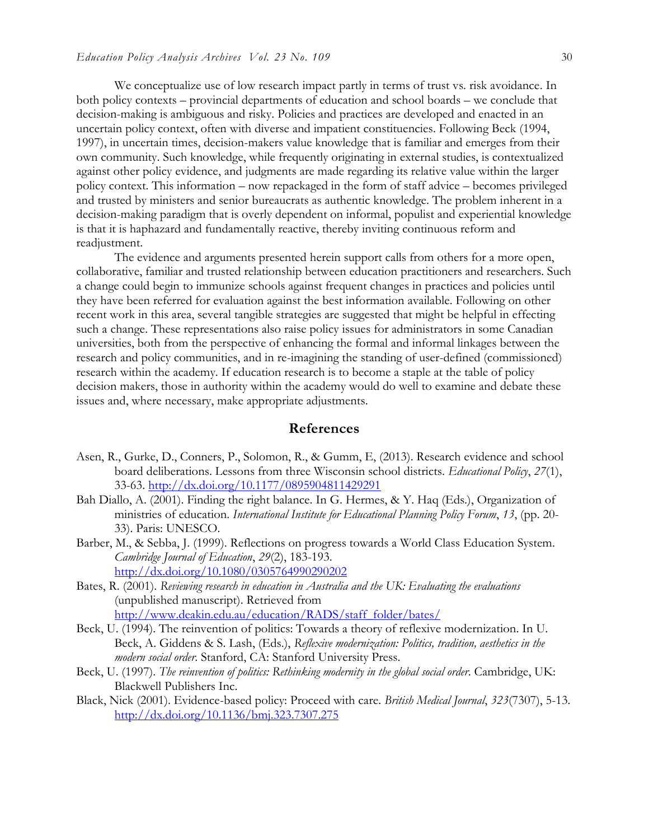We conceptualize use of low research impact partly in terms of trust vs. risk avoidance. In both policy contexts – provincial departments of education and school boards – we conclude that decision-making is ambiguous and risky. Policies and practices are developed and enacted in an uncertain policy context, often with diverse and impatient constituencies. Following Beck (1994, 1997), in uncertain times, decision-makers value knowledge that is familiar and emerges from their own community. Such knowledge, while frequently originating in external studies, is contextualized against other policy evidence, and judgments are made regarding its relative value within the larger policy context. This information – now repackaged in the form of staff advice – becomes privileged and trusted by ministers and senior bureaucrats as authentic knowledge. The problem inherent in a decision-making paradigm that is overly dependent on informal, populist and experiential knowledge is that it is haphazard and fundamentally reactive, thereby inviting continuous reform and readjustment.

The evidence and arguments presented herein support calls from others for a more open, collaborative, familiar and trusted relationship between education practitioners and researchers. Such a change could begin to immunize schools against frequent changes in practices and policies until they have been referred for evaluation against the best information available. Following on other recent work in this area, several tangible strategies are suggested that might be helpful in effecting such a change. These representations also raise policy issues for administrators in some Canadian universities, both from the perspective of enhancing the formal and informal linkages between the research and policy communities, and in re-imagining the standing of user-defined (commissioned) research within the academy. If education research is to become a staple at the table of policy decision makers, those in authority within the academy would do well to examine and debate these issues and, where necessary, make appropriate adjustments.

#### **References**

- Asen, R., Gurke, D., Conners, P., Solomon, R., & Gumm, E, (2013). Research evidence and school board deliberations. Lessons from three Wisconsin school districts. *Educational Policy*, *27*(1), 33-63.<http://dx.doi.org/10.1177/0895904811429291>
- Bah Diallo, A. (2001). Finding the right balance. In G. Hermes, & Y. Haq (Eds.), Organization of ministries of education. *International Institute for Educational Planning Policy Forum*, *13*, (pp. 20- 33). Paris: UNESCO.
- Barber, M., & Sebba, J. (1999). Reflections on progress towards a World Class Education System. *Cambridge Journal of Education*, *29*(2), 183-193. <http://dx.doi.org/10.1080/0305764990290202>
- Bates, R. (2001). *Reviewing research in education in Australia and the UK: Evaluating the evaluations* (unpublished manuscript). Retrieved from [http://www.deakin.edu.au/education/RADS/staff\\_folder/bates/](http://www.deakin.edu.au/education/RADS/staff_folder/bates/)
- Beck, U. (1994). The reinvention of politics: Towards a theory of reflexive modernization. In U. Beck, A. Giddens & S. Lash, (Eds.), *Reflexive modernization: Politics, tradition, aesthetics in the modern social order*. Stanford, CA: Stanford University Press.
- Beck, U. (1997). *The reinvention of politics: Rethinking modernity in the global social order*. Cambridge, UK: Blackwell Publishers Inc.
- Black, Nick (2001). Evidence-based policy: Proceed with care. *British Medical Journal*, *323*(7307), 5-13. <http://dx.doi.org/10.1136/bmj.323.7307.275>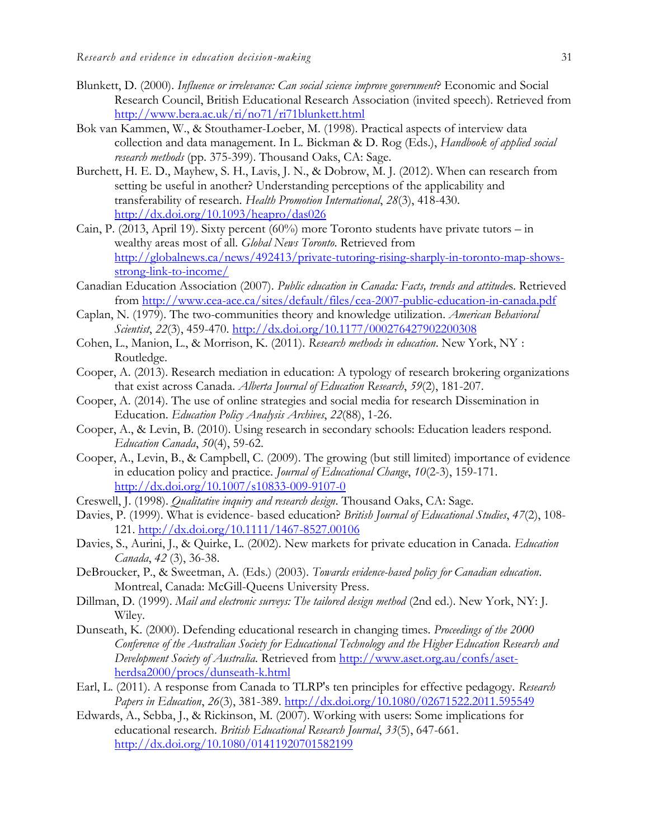- Blunkett, D. (2000). *Influence or irrelevance: Can social science improve government*? Economic and Social Research Council, British Educational Research Association (invited speech). Retrieved from <http://www.bera.ac.uk/ri/no71/ri71blunkett.html>
- Bok van Kammen, W., & Stouthamer-Loeber, M. (1998). Practical aspects of interview data collection and data management. In L. Bickman & D. Rog (Eds.), *Handbook of applied social research methods* (pp. 375-399). Thousand Oaks, CA: Sage.
- Burchett, H. E. D., Mayhew, S. H., Lavis, J. N., & Dobrow, M. J. (2012). When can research from setting be useful in another? Understanding perceptions of the applicability and transferability of research. *Health Promotion International*, *28*(3), 418-430. <http://dx.doi.org/10.1093/heapro/das026>
- Cain, P. (2013, April 19). Sixty percent (60%) more Toronto students have private tutors in wealthy areas most of all. *Global News Toronto*. Retrieved from [http://globalnews.ca/news/492413/private-tutoring-rising-sharply-in-toronto-map-shows](http://globalnews.ca/news/492413/private-tutoring-rising-sharply-in-toronto-map-shows-strong-link-to-income/)[strong-link-to-income/](http://globalnews.ca/news/492413/private-tutoring-rising-sharply-in-toronto-map-shows-strong-link-to-income/)
- Canadian Education Association (2007). *Public education in Canada: Facts, trends and attitude*s. Retrieved from<http://www.cea-ace.ca/sites/default/files/cea-2007-public-education-in-canada.pdf>
- Caplan, N. (1979). The two-communities theory and knowledge utilization. *American Behavioral Scientist*, *22*(3), 459-470.<http://dx.doi.org/10.1177/000276427902200308>
- Cohen, L., Manion, L., & Morrison, K. (2011). *Research methods in education*. New York, NY : Routledge.
- Cooper, A. (2013). Research mediation in education: A typology of research brokering organizations that exist across Canada. *Alberta Journal of Education Research*, *59*(2), 181-207.
- Cooper, A. (2014). The use of online strategies and social media for research Dissemination in Education. *Education Policy Analysis Archives*, *22*(88), 1-26.
- Cooper, A., & Levin, B. (2010). Using research in secondary schools: Education leaders respond. *Education Canada*, *50*(4), 59-62.
- Cooper, A., Levin, B., & Campbell, C. (2009). The growing (but still limited) importance of evidence in education policy and practice. *Journal of Educational Change*, *10*(2-3), 159-171. <http://dx.doi.org/10.1007/s10833-009-9107-0>
- Creswell, J. (1998). *Qualitative inquiry and research design*. Thousand Oaks, CA: Sage.
- Davies, P. (1999). What is evidence- based education? *British Journal of Educational Studies*, *47*(2), 108- 121.<http://dx.doi.org/10.1111/1467-8527.00106>
- Davies, S., Aurini, J., & Quirke, L. (2002). New markets for private education in Canada. *Education Canada*, *42* (3), 36-38.
- DeBroucker, P., & Sweetman, A. (Eds.) (2003). *Towards evidence-based policy for Canadian education*. Montreal, Canada: McGill-Queens University Press.
- Dillman, D. (1999). *Mail and electronic surveys: The tailored design method* (2nd ed.). New York, NY: J. Wiley.
- Dunseath, K. (2000). Defending educational research in changing times. *Proceedings of the 2000 Conference of the Australian Society for Educational Technology and the Higher Education Research and Development Society of Australia.* Retrieved from [http://www.aset.org.au/confs/aset](http://www.aset.org.au/confs/aset-herdsa2000/procs/dunseath-k.html)[herdsa2000/procs/dunseath-k.html](http://www.aset.org.au/confs/aset-herdsa2000/procs/dunseath-k.html)
- Earl, L. (2011). A response from Canada to TLRP's ten principles for effective pedagogy. *Research Papers in Education*, *26*(3), 381-389. <http://dx.doi.org/10.1080/02671522.2011.595549>
- Edwards, A., Sebba, J., & Rickinson, M. (2007). Working with users: Some implications for educational research. *British Educational Research Journal*, *33*(5), 647-661. <http://dx.doi.org/10.1080/01411920701582199>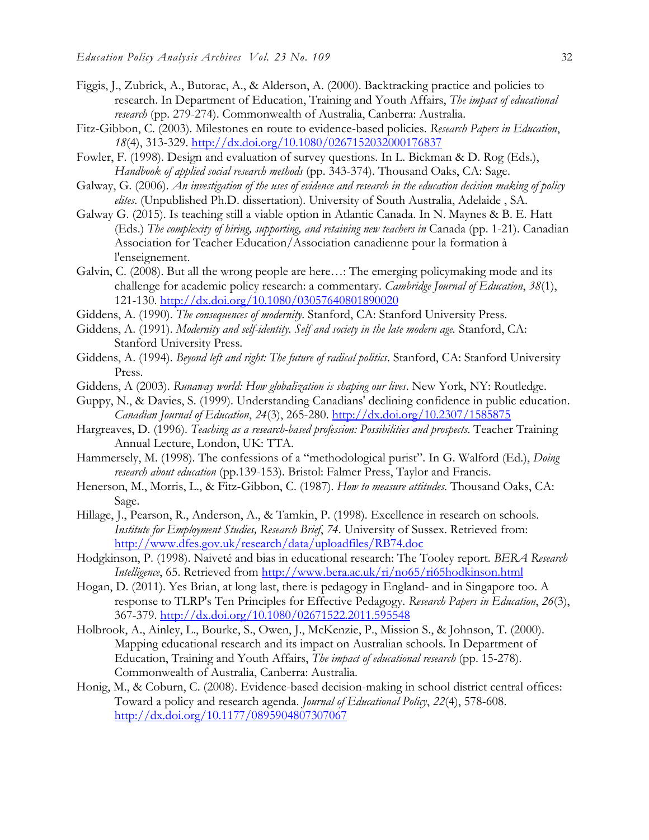- Figgis, J., Zubrick, A., Butorac, A., & Alderson, A. (2000). Backtracking practice and policies to research. In Department of Education, Training and Youth Affairs, *The impact of educational research* (pp. 279-274). Commonwealth of Australia, Canberra: Australia.
- Fitz-Gibbon, C. (2003). Milestones en route to evidence-based policies. *Research Papers in Education*, *18*(4), 313-329.<http://dx.doi.org/10.1080/0267152032000176837>
- Fowler, F. (1998). Design and evaluation of survey questions. In L. Bickman & D. Rog (Eds.), *Handbook of applied social research methods* (pp. 343-374). Thousand Oaks, CA: Sage.
- Galway, G. (2006). *An investigation of the uses of evidence and research in the education decision making of policy elites*. (Unpublished Ph.D. dissertation). University of South Australia, Adelaide , SA.
- Galway G. (2015). Is teaching still a viable option in Atlantic Canada. In N. Maynes & B. E. Hatt (Eds.) *The complexity of hiring, supporting, and retaining new teachers in* Canada (pp. 1-21). Canadian Association for Teacher Education/Association canadienne pour la formation à l'enseignement.
- Galvin, C. (2008). But all the wrong people are here…: The emerging policymaking mode and its challenge for academic policy research: a commentary. *Cambridge Journal of Education*, *38*(1), 121-130. <http://dx.doi.org/10.1080/03057640801890020>
- Giddens, A. (1990). *The consequences of modernity*. Stanford, CA: Stanford University Press.
- Giddens, A. (1991). *Modernity and self-identity. Self and society in the late modern age.* Stanford, CA: Stanford University Press.
- Giddens, A. (1994). *Beyond left and right: The future of radical politics*. Stanford, CA: Stanford University Press.
- Giddens, A (2003). *Runaway world: How globalization is shaping our lives*. New York, NY: Routledge.
- Guppy, N., & Davies, S. (1999). Understanding Canadians' declining confidence in public education. *Canadian Journal of Education*, *24*(3), 265-280.<http://dx.doi.org/10.2307/1585875>
- Hargreaves, D. (1996). *Teaching as a research-based profession: Possibilities and prospects*. Teacher Training Annual Lecture, London, UK: TTA.
- Hammersely, M. (1998). The confessions of a "methodological purist". In G. Walford (Ed.), *Doing research about education* (pp.139-153). Bristol: Falmer Press, Taylor and Francis.
- Henerson, M., Morris, L., & Fitz-Gibbon, C. (1987). *How to measure attitudes*. Thousand Oaks, CA: Sage.
- Hillage, J., Pearson, R., Anderson, A., & Tamkin, P. (1998). Excellence in research on schools. *Institute for Employment Studies, Research Brief*, *74*. University of Sussex. Retrieved from: <http://www.dfes.gov.uk/research/data/uploadfiles/RB74.doc>
- Hodgkinson, P. (1998). Naiveté and bias in educational research: The Tooley report. *BERA Research Intelligence*, 65. Retrieved from<http://www.bera.ac.uk/ri/no65/ri65hodkinson.html>
- Hogan, D. (2011). Yes Brian, at long last, there is pedagogy in England- and in Singapore too. A response to TLRP's Ten Principles for Effective Pedagogy. *Research Papers in Education*, *26*(3), 367-379. <http://dx.doi.org/10.1080/02671522.2011.595548>
- Holbrook, A., Ainley, L., Bourke, S., Owen, J., McKenzie, P., Mission S., & Johnson, T. (2000). Mapping educational research and its impact on Australian schools. In Department of Education, Training and Youth Affairs, *The impact of educational research* (pp. 15-278). Commonwealth of Australia, Canberra: Australia.
- Honig, M., & Coburn, C. (2008). Evidence-based decision-making in school district central offices: Toward a policy and research agenda. *Journal of Educational Policy*, *22*(4), 578-608. <http://dx.doi.org/10.1177/0895904807307067>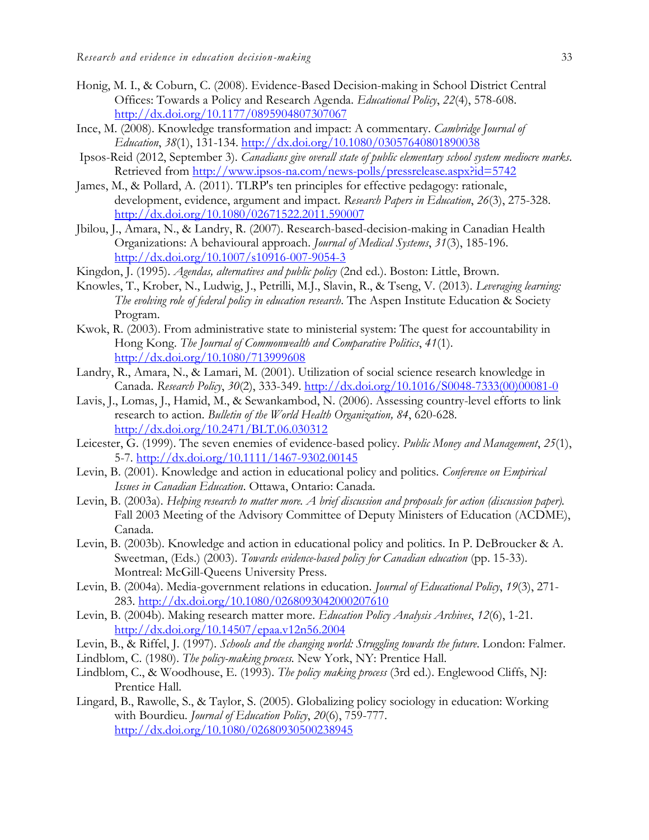- Honig, M. I., & Coburn, C. (2008). Evidence-Based Decision-making in School District Central Offices: Towards a Policy and Research Agenda*. Educational Policy*, *22*(4), 578-608. <http://dx.doi.org/10.1177/0895904807307067>
- Ince, M. (2008). Knowledge transformation and impact: A commentary. *Cambridge Journal of Education*, *38*(1), 131-134. <http://dx.doi.org/10.1080/03057640801890038>
- Ipsos-Reid (2012, September 3). *Canadians give overall state of public elementary school system mediocre marks*. Retrieved from<http://www.ipsos-na.com/news-polls/pressrelease.aspx?id=5742>
- James, M., & Pollard, A. (2011). TLRP's ten principles for effective pedagogy: rationale, development, evidence, argument and impact. *Research Papers in Education*, *26*(3), 275-328. <http://dx.doi.org/10.1080/02671522.2011.590007>
- Jbilou, J., Amara, N., & Landry, R. (2007). Research-based-decision-making in Canadian Health Organizations: A behavioural approach. *Journal of Medical Systems*, *31*(3), 185-196. <http://dx.doi.org/10.1007/s10916-007-9054-3>
- Kingdon, J. (1995). *Agendas, alternatives and public policy* (2nd ed.). Boston: Little, Brown.
- Knowles, T., Krober, N., Ludwig, J., Petrilli, M.J., Slavin, R., & Tseng, V. (2013). *Leveraging learning: The evolving role of federal policy in education research*. The Aspen Institute Education & Society Program.
- Kwok, R. (2003). From administrative state to ministerial system: The quest for accountability in Hong Kong. *The Journal of Commonwealth and Comparative Politics*, *41*(1). <http://dx.doi.org/10.1080/713999608>
- Landry, R., Amara, N., & Lamari, M. (2001). Utilization of social science research knowledge in Canada. *Research Policy*, *30*(2), 333-349. [http://dx.doi.org/10.1016/S0048-7333\(00\)00081-0](http://dx.doi.org/10.1016/S0048-7333(00)00081-0)
- Lavis, J., Lomas, J., Hamid, M., & Sewankambod, N. (2006). Assessing country-level efforts to link research to action. *Bulletin of the World Health Organization, 84*, 620-628. <http://dx.doi.org/10.2471/BLT.06.030312>
- Leicester, G. (1999). The seven enemies of evidence-based policy. *Public Money and Management*, *25*(1), 5-7. <http://dx.doi.org/10.1111/1467-9302.00145>
- Levin, B. (2001). Knowledge and action in educational policy and politics. *Conference on Empirical Issues in Canadian Education*. Ottawa, Ontario: Canada.
- Levin, B. (2003a). *Helping research to matter more. A brief discussion and proposals for action (discussion paper).* Fall 2003 Meeting of the Advisory Committee of Deputy Ministers of Education (ACDME), Canada.
- Levin, B. (2003b). Knowledge and action in educational policy and politics. In P. DeBroucker & A. Sweetman, (Eds.) (2003). *Towards evidence-based policy for Canadian education* (pp. 15-33). Montreal: McGill-Queens University Press.
- Levin, B. (2004a). Media-government relations in education. *Journal of Educational Policy*, *19*(3), 271- 283. <http://dx.doi.org/10.1080/0268093042000207610>
- Levin, B. (2004b). Making research matter more. *Education Policy Analysis Archives*, *12*(6), 1-21. <http://dx.doi.org/10.14507/epaa.v12n56.2004>
- Levin, B., & Riffel, J. (1997). *Schools and the changing world: Struggling towards the future*. London: Falmer.
- Lindblom, C. (1980). *The policy-making process.* New York, NY: Prentice Hall.
- Lindblom, C., & Woodhouse, E. (1993). *The policy making process* (3rd ed.). Englewood Cliffs, NJ: Prentice Hall.
- Lingard, B., Rawolle, S., & Taylor, S. (2005). Globalizing policy sociology in education: Working with Bourdieu. *Journal of Education Policy*, *20*(6), 759-777. <http://dx.doi.org/10.1080/02680930500238945>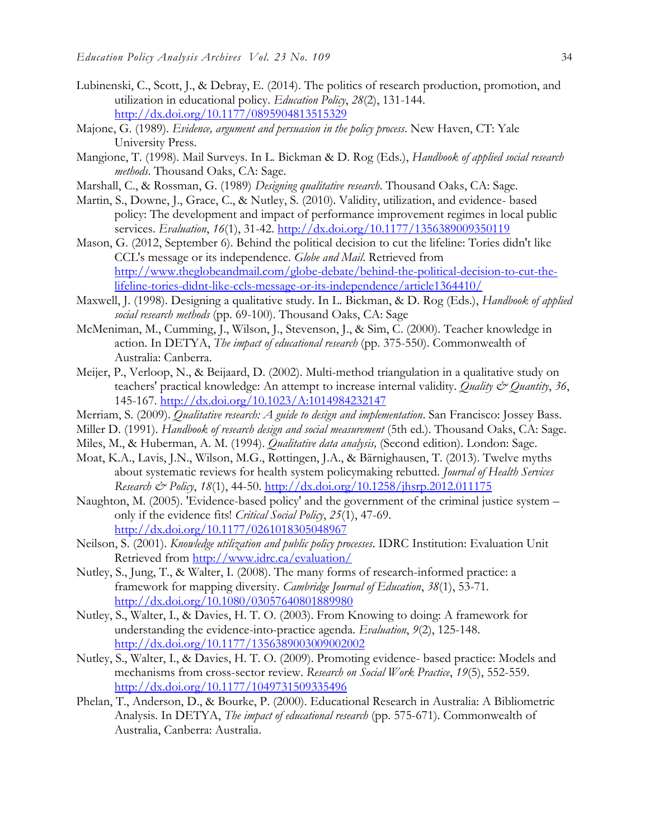- Lubinenski, C., Scott, J., & Debray, E. (2014). The politics of research production, promotion, and utilization in educational policy. *Education Policy*, *28*(2), 131-144. <http://dx.doi.org/10.1177/0895904813515329>
- Majone, G. (1989). *Evidence, argument and persuasion in the policy process*. New Haven, CT: Yale University Press.
- Mangione, T. (1998). Mail Surveys. In L. Bickman & D. Rog (Eds.), *Handbook of applied social research methods*. Thousand Oaks, CA: Sage.
- Marshall, C., & Rossman, G. (1989) *Designing qualitative research*. Thousand Oaks, CA: Sage.
- Martin, S., Downe, J., Grace, C., & Nutley, S. (2010). Validity, utilization, and evidence- based policy: The development and impact of performance improvement regimes in local public services. *Evaluation*, *16*(1), 31-42.<http://dx.doi.org/10.1177/1356389009350119>
- Mason, G. (2012, September 6). Behind the political decision to cut the lifeline: Tories didn't like CCL's message or its independence. *Globe and Mail*. Retrieved from [http://www.theglobeandmail.com/globe-debate/behind-the-political-decision-to-cut-the](http://www.theglobeandmail.com/globe-debate/behind-the-political-decision-to-cut-the-lifeline-tories-didnt-like-ccls-message-or-its-independence/article1364410/)[lifeline-tories-didnt-like-ccls-message-or-its-independence/article1364410/](http://www.theglobeandmail.com/globe-debate/behind-the-political-decision-to-cut-the-lifeline-tories-didnt-like-ccls-message-or-its-independence/article1364410/)
- Maxwell, J. (1998). Designing a qualitative study. In L. Bickman, & D. Rog (Eds.), *Handbook of applied social research methods* (pp. 69-100). Thousand Oaks, CA: Sage
- McMeniman, M., Cumming, J., Wilson, J., Stevenson, J., & Sim, C. (2000). Teacher knowledge in action. In DETYA, *The impact of educational research* (pp. 375-550). Commonwealth of Australia: Canberra.
- Meijer, P., Verloop, N., & Beijaard, D. (2002). Multi-method triangulation in a qualitative study on teachers' practical knowledge: An attempt to increase internal validity. *Quality & Quantity*, *36*, 145-167. <http://dx.doi.org/10.1023/A:1014984232147>
- Merriam, S. (2009). *Qualitative research: A guide to design and implementation*. San Francisco: Jossey Bass.
- Miller D. (1991). *Handbook of research design and social measurement* (5th ed.). Thousand Oaks, CA: Sage.
- Miles, M., & Huberman, A. M. (1994). *Qualitative data analysis,* (Second edition). London: Sage.
- Moat, K.A., Lavis, J.N., Wilson, M.G., Røttingen, J.A., & Bärnighausen, T. (2013). Twelve myths about systematic reviews for health system policymaking rebutted. *Journal of Health Services Research & Policy*, *18*(1), 44-50. <http://dx.doi.org/10.1258/jhsrp.2012.011175>
- Naughton, M. (2005). 'Evidence-based policy' and the government of the criminal justice system only if the evidence fits! *Critical Social Policy*, *25*(1), 47-69. <http://dx.doi.org/10.1177/0261018305048967>
- Neilson, S. (2001). *Knowledge utilization and public policy processes*. IDRC Institution: Evaluation Unit Retrieved from<http://www.idrc.ca/evaluation/>
- Nutley, S., Jung, T., & Walter, I. (2008). The many forms of research-informed practice: a framework for mapping diversity. *Cambridge Journal of Education*, *38*(1), 53-71. <http://dx.doi.org/10.1080/03057640801889980>
- Nutley, S., Walter, I., & Davies, H. T. O. (2003). From Knowing to doing: A framework for understanding the evidence-into-practice agenda. *Evaluation*, *9*(2), 125-148. <http://dx.doi.org/10.1177/1356389003009002002>
- Nutley, S., Walter, I., & Davies, H. T. O. (2009). Promoting evidence- based practice: Models and mechanisms from cross-sector review. *Research on Social Work Practice*, *19*(5), 552-559. <http://dx.doi.org/10.1177/1049731509335496>
- Phelan, T., Anderson, D., & Bourke, P. (2000). Educational Research in Australia: A Bibliometric Analysis. In DETYA, *The impact of educational research* (pp. 575-671). Commonwealth of Australia, Canberra: Australia.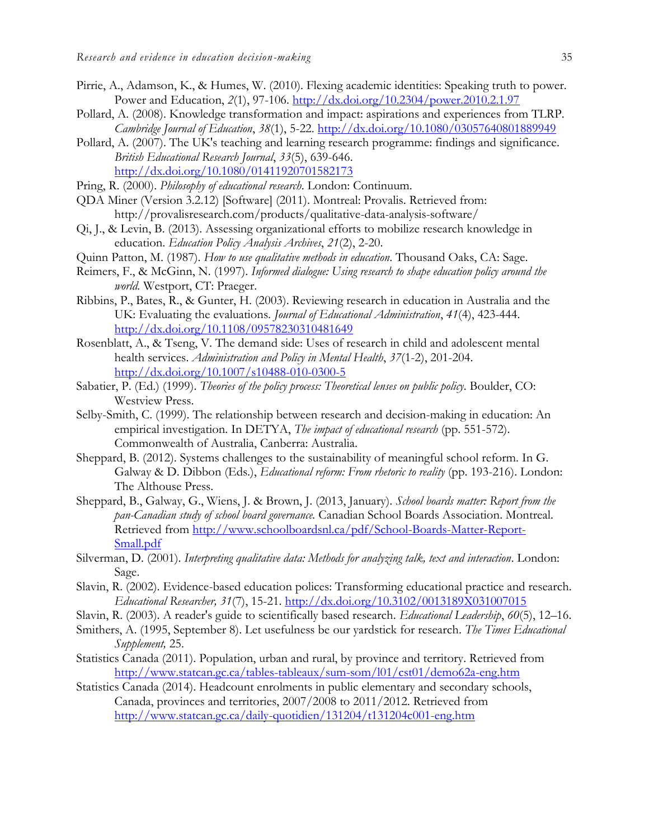- Pirrie, A., Adamson, K., & Humes, W. (2010). Flexing academic identities: Speaking truth to power. Power and Education, *2*(1), 97-106. <http://dx.doi.org/10.2304/power.2010.2.1.97>
- Pollard, A. (2008). Knowledge transformation and impact: aspirations and experiences from TLRP. *Cambridge Journal of Education*, *38*(1), 5-22. <http://dx.doi.org/10.1080/03057640801889949>
- Pollard, A. (2007). The UK's teaching and learning research programme: findings and significance. *British Educational Research Journal*, *33*(5), 639-646. <http://dx.doi.org/10.1080/01411920701582173>
- Pring, R. (2000). *Philosophy of educational research*. London: Continuum.
- QDA Miner (Version 3.2.12) [Software] (2011). Montreal: Provalis. Retrieved from: http://provalisresearch.com/products/qualitative-data-analysis-software/
- Qi, J., & Levin, B. (2013). Assessing organizational efforts to mobilize research knowledge in education. *Education Policy Analysis Archives*, *21*(2), 2-20.
- Quinn Patton, M. (1987). *How to use qualitative methods in education*. Thousand Oaks, CA: Sage.
- Reimers, F., & McGinn, N. (1997). *Informed dialogue: Using research to shape education policy around the world.* Westport, CT: Praeger.
- Ribbins, P., Bates, R., & Gunter, H. (2003). Reviewing research in education in Australia and the UK: Evaluating the evaluations. *Journal of Educational Administration*, *41*(4), 423-444. <http://dx.doi.org/10.1108/09578230310481649>
- Rosenblatt, A., & Tseng, V. The demand side: Uses of research in child and adolescent mental health services. *Administration and Policy in Mental Health*, *37*(1-2), 201-204. <http://dx.doi.org/10.1007/s10488-010-0300-5>
- Sabatier, P. (Ed.) (1999). *Theories of the policy process: Theoretical lenses on public policy*. Boulder, CO: Westview Press.
- Selby-Smith, C. (1999). The relationship between research and decision-making in education: An empirical investigation. In DETYA, *The impact of educational research* (pp. 551-572). Commonwealth of Australia, Canberra: Australia.
- Sheppard, B. (2012). Systems challenges to the sustainability of meaningful school reform. In G. Galway & D. Dibbon (Eds.), *Educational reform: From rhetoric to reality* (pp. 193-216). London: The Althouse Press.
- Sheppard, B., Galway, G., Wiens, J. & Brown, J. (2013, January). *School boards matter: Report from the pan-Canadian study of school board governance.* Canadian School Boards Association. Montreal. Retrieved from [http://www.schoolboardsnl.ca/pdf/School-Boards-Matter-Report-](http://www.schoolboardsnl.ca/pdf/School-Boards-Matter-Report-Small.pdf)[Small.pdf](http://www.schoolboardsnl.ca/pdf/School-Boards-Matter-Report-Small.pdf)
- Silverman, D. (2001). *Interpreting qualitative data: Methods for analyzing talk, text and interaction*. London: Sage.
- Slavin, R. (2002). Evidence-based education polices: Transforming educational practice and research. *Educational Researcher, 31*(7), 15-21. <http://dx.doi.org/10.3102/0013189X031007015>
- Slavin, R. (2003). A reader's guide to scientifically based research. *Educational Leadership*, *60*(5), 12–16.
- Smithers, A. (1995, September 8). Let usefulness be our yardstick for research. *The Times Educational Supplement,* 25.
- Statistics Canada (2011). Population, urban and rural, by province and territory. Retrieved from <http://www.statcan.gc.ca/tables-tableaux/sum-som/l01/cst01/demo62a-eng.htm>
- Statistics Canada (2014). Headcount enrolments in public elementary and secondary schools, Canada, provinces and territories, 2007/2008 to 2011/2012. Retrieved from <http://www.statcan.gc.ca/daily-quotidien/131204/t131204c001-eng.htm>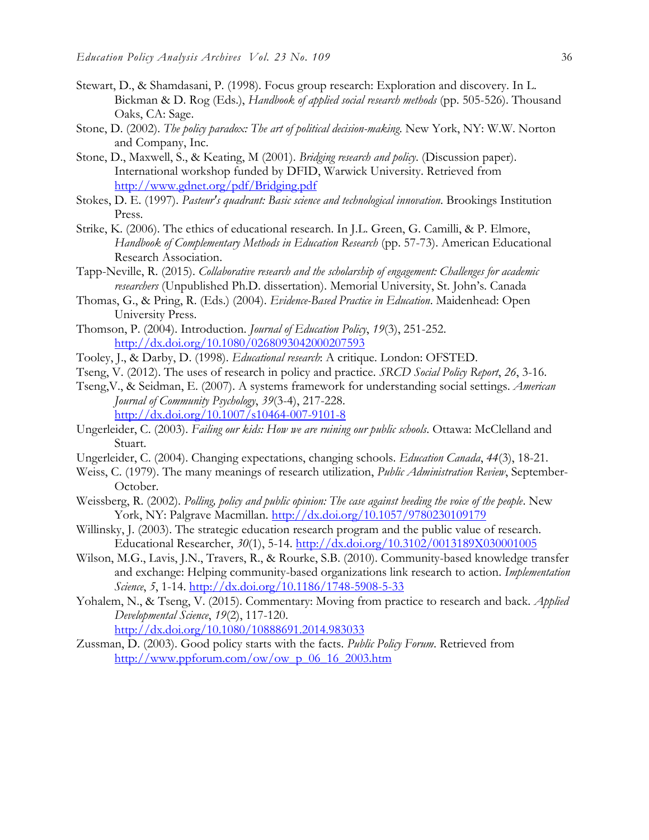- Stewart, D., & Shamdasani, P. (1998). Focus group research: Exploration and discovery. In L. Bickman & D. Rog (Eds.), *Handbook of applied social research methods* (pp. 505-526). Thousand Oaks, CA: Sage.
- Stone, D. (2002). *The policy paradox: The art of political decision-making*. New York, NY: W.W. Norton and Company, Inc.
- Stone, D., Maxwell, S., & Keating, M (2001). *Bridging research and policy*. (Discussion paper). International workshop funded by DFID, Warwick University. Retrieved from <http://www.gdnet.org/pdf/Bridging.pdf>
- Stokes, D. E. (1997). *Pasteur's quadrant: Basic science and technological innovation*. Brookings Institution Press.
- Strike, K. (2006). The ethics of educational research. In J.L. Green, G. Camilli, & P. Elmore, *Handbook of Complementary Methods in Education Research* (pp. 57-73). American Educational Research Association.
- Tapp-Neville, R. (2015). *Collaborative research and the scholarship of engagement: Challenges for academic researchers* (Unpublished Ph.D. dissertation). Memorial University, St. John's. Canada
- Thomas, G., & Pring, R. (Eds.) (2004). *Evidence-Based Practice in Education*. Maidenhead: Open University Press.
- Thomson, P. (2004). Introduction. *Journal of Education Policy*, *19*(3), 251-252. <http://dx.doi.org/10.1080/0268093042000207593>
- Tooley, J., & Darby, D. (1998). *Educational research*: A critique. London: OFSTED.
- Tseng, V. (2012). The uses of research in policy and practice. *SRCD Social Policy Report*, *26*, 3-16.
- Tseng,V., & Seidman, E. (2007). A systems framework for understanding social settings. *American Journal of Community Psychology*, *39*(3-4), 217-228. <http://dx.doi.org/10.1007/s10464-007-9101-8>
- Ungerleider, C. (2003). *Failing our kids: How we are ruining our public schools*. Ottawa: McClelland and Stuart.
- Ungerleider, C. (2004). Changing expectations, changing schools. *Education Canada*, *44*(3), 18-21.
- Weiss, C. (1979). The many meanings of research utilization, *Public Administration Review*, September-October.
- Weissberg, R. (2002). *Polling, policy and public opinion: The case against heeding the voice of the people*. New York, NY: Palgrave Macmillan. <http://dx.doi.org/10.1057/9780230109179>
- Willinsky, J. (2003). The strategic education research program and the public value of research. Educational Researcher, *30*(1), 5-14. <http://dx.doi.org/10.3102/0013189X030001005>
- Wilson, M.G., Lavis, J.N., Travers, R., & Rourke, S.B. (2010). Community-based knowledge transfer and exchange: Helping community-based organizations link research to action. *Implementation Science*, *5*, 1-14. <http://dx.doi.org/10.1186/1748-5908-5-33>
- Yohalem, N., & Tseng, V. (2015). Commentary: Moving from practice to research and back. *Applied Developmental Science*, *19*(2), 117-120. <http://dx.doi.org/10.1080/10888691.2014.983033>
- Zussman, D. (2003). Good policy starts with the facts. *Public Policy Forum*. Retrieved from [http://www.ppforum.com/ow/ow\\_p\\_06\\_16\\_2003.htm](http://www.ppforum.com/ow/ow_p_06_16_2003.htm)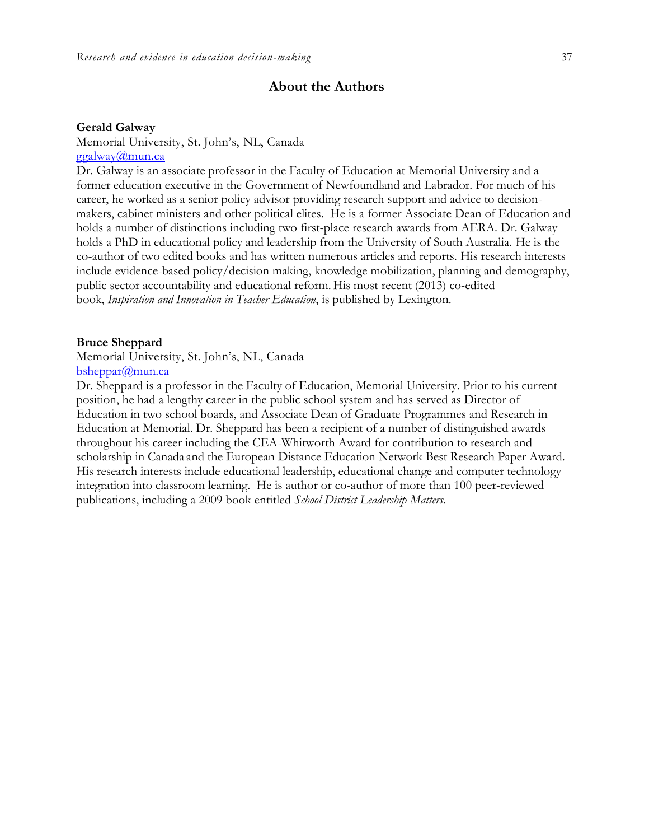## **About the Authors**

#### **Gerald Galway**

Memorial University, St. John's, NL, Canada

[ggalway@mun.ca](mailto:ggalway@mun.ca)

Dr. Galway is an associate professor in the Faculty of Education at Memorial University and a former education executive in the Government of Newfoundland and Labrador. For much of his career, he worked as a senior policy advisor providing research support and advice to decisionmakers, cabinet ministers and other political elites. He is a former Associate Dean of Education and holds a number of distinctions including two first-place research awards from AERA. Dr. Galway holds a PhD in educational policy and leadership from the University of South Australia. He is the co-author of two edited books and has written numerous articles and reports. His research interests include evidence-based policy/decision making, knowledge mobilization, planning and demography, public sector accountability and educational reform. His most recent (2013) co-edited book, *Inspiration and Innovation in Teacher Education*, is published by Lexington.

#### **Bruce Sheppard**

Memorial University, St. John's, NL, Canada

[bsheppar@mun.ca](mailto:bsheppar@mun.ca)

Dr. Sheppard is a professor in the Faculty of Education, Memorial University. Prior to his current position, he had a lengthy career in the public school system and has served as Director of Education in two school boards, and Associate Dean of Graduate Programmes and Research in Education at Memorial. Dr. Sheppard has been a recipient of a number of distinguished awards throughout his career including the CEA-Whitworth Award for contribution to research and scholarship in Canada and the European Distance Education Network Best Research Paper Award. His research interests include educational leadership, educational change and computer technology integration into classroom learning. He is author or co-author of more than 100 peer-reviewed publications, including a 2009 book entitled *School District Leadership Matters.*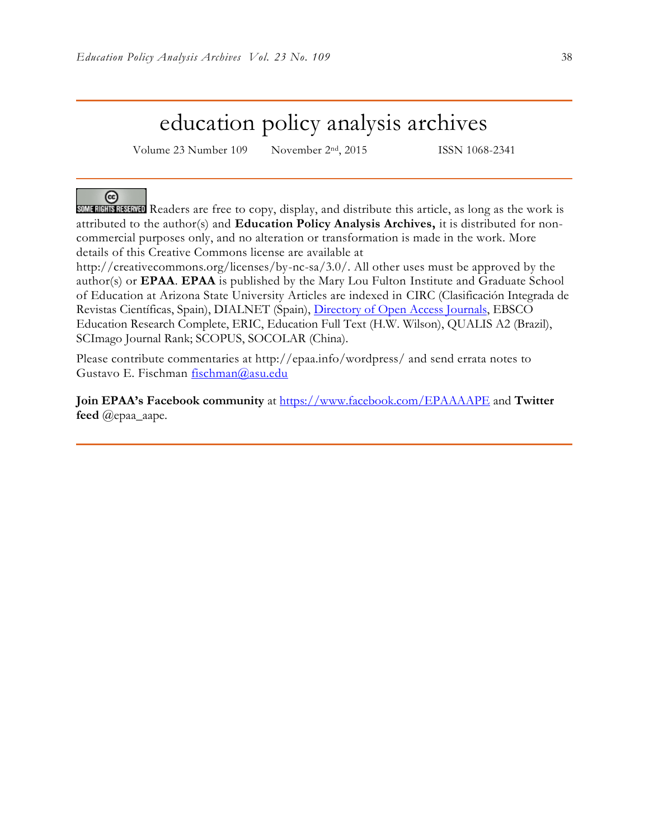## education policy analysis archives

Volume 23 Number 109 November 2<sup>nd</sup>, 2015 ISSN 1068-2341

### ര

SOME RIGHTS RESERVED Readers are free to copy, display, and distribute this article, as long as the work is attributed to the author(s) and **Education Policy Analysis Archives,** it is distributed for noncommercial purposes only, and no alteration or transformation is made in the work. More details of this Creative Commons license are available at

http://creativecommons.org/licenses/by-nc-sa/3.0/. All other uses must be approved by the author(s) or **EPAA**. **EPAA** is published by the Mary Lou Fulton Institute and Graduate School of Education at Arizona State University Articles are indexed in CIRC (Clasificación Integrada de Revistas Científicas, Spain), DIALNET (Spain), [Directory of Open Access Journals,](http://www.doaj.org/) EBSCO Education Research Complete, ERIC, Education Full Text (H.W. Wilson), QUALIS A2 (Brazil), SCImago Journal Rank; SCOPUS, SOCOLAR (China).

Please contribute commentaries at http://epaa.info/wordpress/ and send errata notes to Gustavo E. Fischman [fischman@asu.edu](mailto:fischman@asu.edu)

Join EPAA's Facebook community at<https://www.facebook.com/EPAAAAPE> and Twitter **feed** @epaa\_aape.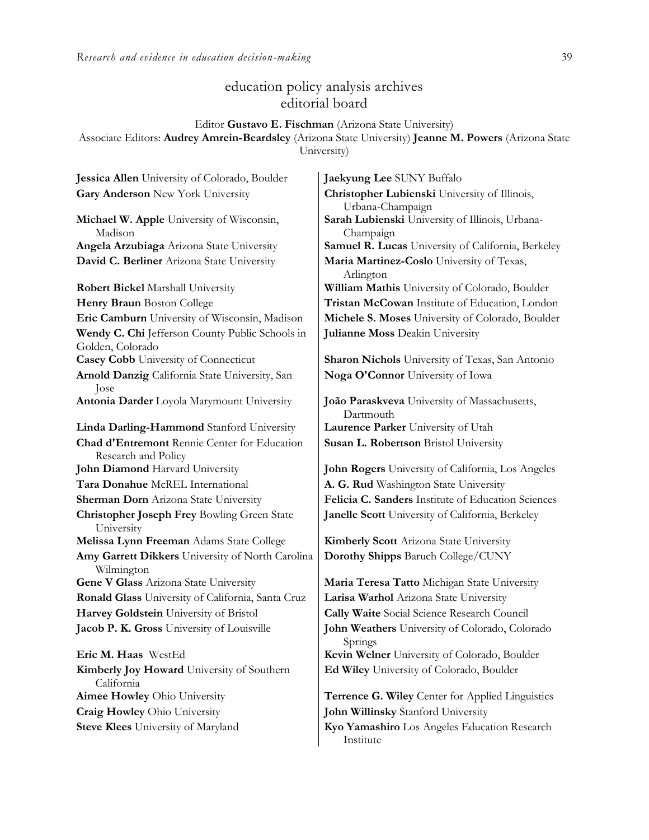## education policy analysis archives editorial board

#### Editor **Gustavo E. Fischman** (Arizona State University)

Associate Editors: **Audrey Amrein-Beardsley** (Arizona State University) **Jeanne M. Powers** (Arizona State University)

**Michael W. Apple** University of Wisconsin, Madison **David C. Berliner** Arizona State University **Maria Martinez-Coslo** University of Texas, **Wendy C. Chi** Jefferson County Public Schools in Golden, Colorado **Casey Cobb** University of Connecticut **Sharon Nichols** University of Texas, San Antonio **Arnold Danzig** California State University, San Jose **Antonia Darder** Loyola Marymount University **João Paraskveva** University of Massachusetts, **Linda Darling-Hammond** Stanford University **Laurence Parker** University of Utah **Chad d'Entremont** Rennie Center for Education Research and Policy **John Diamond** Harvard University **John Rogers** University of California, Los Angeles **Tara Donahue** McREL International **A. G. Rud** Washington State University **Christopher Joseph Frey** Bowling Green State University **Melissa Lynn Freeman** Adams State College **Kimberly Scott** Arizona State University **Amy Garrett Dikkers** University of North Carolina Wilmington **Gene V Glass Arizona State University | Maria Teresa Tatto Michigan State University Ronald Glass** University of California, Santa Cruz **Larisa Warhol** Arizona State University **Harvey Goldstein** University of Bristol **Cally Waite** Social Science Research Council **Eric M. Haas** WestEd **Kevin Welner** University of Colorado, Boulder **Kimberly Joy Howard** University of Southern California

**Steve Klees** University of Maryland **Kyo Yamashiro** Los Angeles Education Research

**Jessica Allen** University of Colorado, Boulder **Jaekyung Lee** SUNY Buffalo

**Gary Anderson** New York University **Christopher Lubienski** University of Illinois, Urbana-Champaign **Sarah Lubienski** University of Illinois, Urbana-Champaign **Angela Arzubiaga** Arizona State University **Samuel R. Lucas** University of California, Berkeley Arlington **Robert Bickel** Marshall University **William Mathis** University of Colorado, Boulder **Henry Braun** Boston College **Tristan McCowan** Institute of Education, London **Eric Camburn** University of Wisconsin, Madison **Michele S. Moses** University of Colorado, Boulder **Julianne Moss** Deakin University

**Noga O'Connor** University of Iowa

Dartmouth **Susan L. Robertson** Bristol University

**Sherman Dorn** Arizona State University **Felicia C. Sanders** Institute of Education Sciences **Janelle Scott** University of California, Berkeley

**Dorothy Shipps** Baruch College/CUNY

**Jacob P. K. Gross** University of Louisville **John Weathers** University of Colorado, Colorado Springs **Ed Wiley** University of Colorado, Boulder

**Aimee Howley** Ohio University **Terrence G. Wiley** Center for Applied Linguistics **Craig Howley** Ohio University **John Willinsky** Stanford University

Institute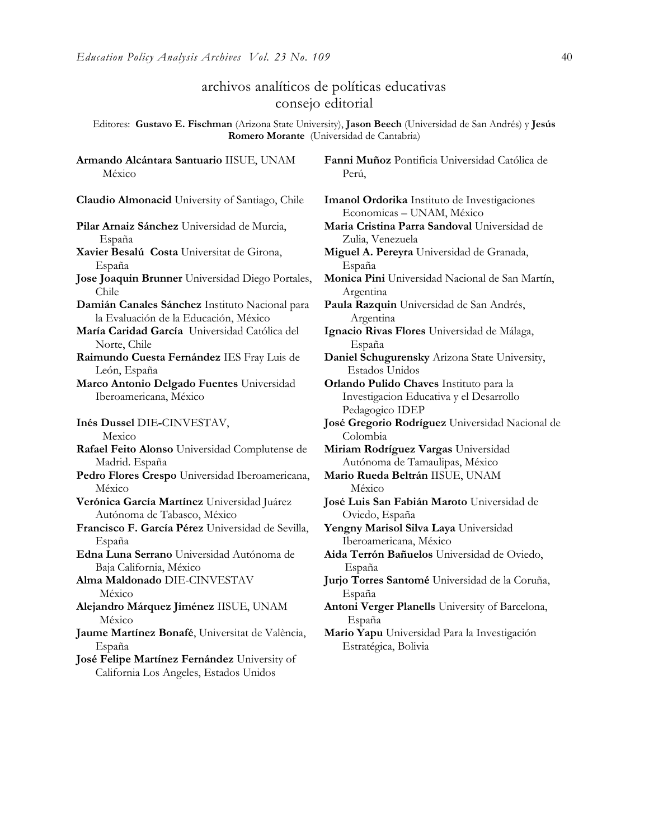**Armando Alcántara Santuario** IISUE, UNAM

## archivos analíticos de políticas educativas consejo editorial

Editores: **Gustavo E. Fischman** (Arizona State University), **Jason Beech** (Universidad de San Andrés) y **Jesús Romero Morante** (Universidad de Cantabria)

México **Claudio Almonacid** University of Santiago, Chile **Imanol Ordorika** Instituto de Investigaciones **Pilar Arnaiz Sánchez** Universidad de Murcia, España **Xavier Besalú Costa** Universitat de Girona, España **Jose Joaquin Brunner** Universidad Diego Portales, Chile **Damián Canales Sánchez** Instituto Nacional para la Evaluación de la Educación, México **María Caridad García** Universidad Católica del Norte, Chile **Raimundo Cuesta Fernández** IES Fray Luis de León, España **Marco Antonio Delgado Fuentes** Universidad Iberoamericana, México **Inés Dussel** DIE**-**CINVESTAV, Mexico **Rafael Feito Alonso** Universidad Complutense de Madrid. España **Pedro Flores Crespo** Universidad Iberoamericana, México **Verónica García Martínez** Universidad Juárez Autónoma de Tabasco, México **Francisco F. García Pérez** Universidad de Sevilla, España **Edna Luna Serrano** Universidad Autónoma de Baja California, México **Alma Maldonado** DIE-CINVESTAV México **Alejandro Márquez Jiménez** IISUE, UNAM México **Jaume Martínez Bonafé**, Universitat de València, España

**José Felipe Martínez Fernández** University of California Los Angeles, Estados Unidos

**Fanni Muñoz** Pontificia Universidad Católica de Perú,

Economicas – UNAM, México **Maria Cristina Parra Sandoval** Universidad de Zulia, Venezuela

**Miguel A. Pereyra** Universidad de Granada, España

**Monica Pini** Universidad Nacional de San Martín, Argentina

**Paula Razquin** Universidad de San Andrés, Argentina

**Ignacio Rivas Flores** Universidad de Málaga, España

**Daniel Schugurensky** Arizona State University, Estados Unidos

**Orlando Pulido Chaves** Instituto para la Investigacion Educativa y el Desarrollo Pedagogico IDEP

**José Gregorio Rodríguez** Universidad Nacional de Colombia

**Miriam Rodríguez Vargas** Universidad Autónoma de Tamaulipas, México

**Mario Rueda Beltrán** IISUE, UNAM México

**José Luis San Fabián Maroto** Universidad de Oviedo, España

**Yengny Marisol Silva Laya** Universidad Iberoamericana, México

**Aida Terrón Bañuelos** Universidad de Oviedo, España

**Jurjo Torres Santomé** Universidad de la Coruña, España

**Antoni Verger Planells** University of Barcelona, España

**Mario Yapu** Universidad Para la Investigación Estratégica, Bolivia